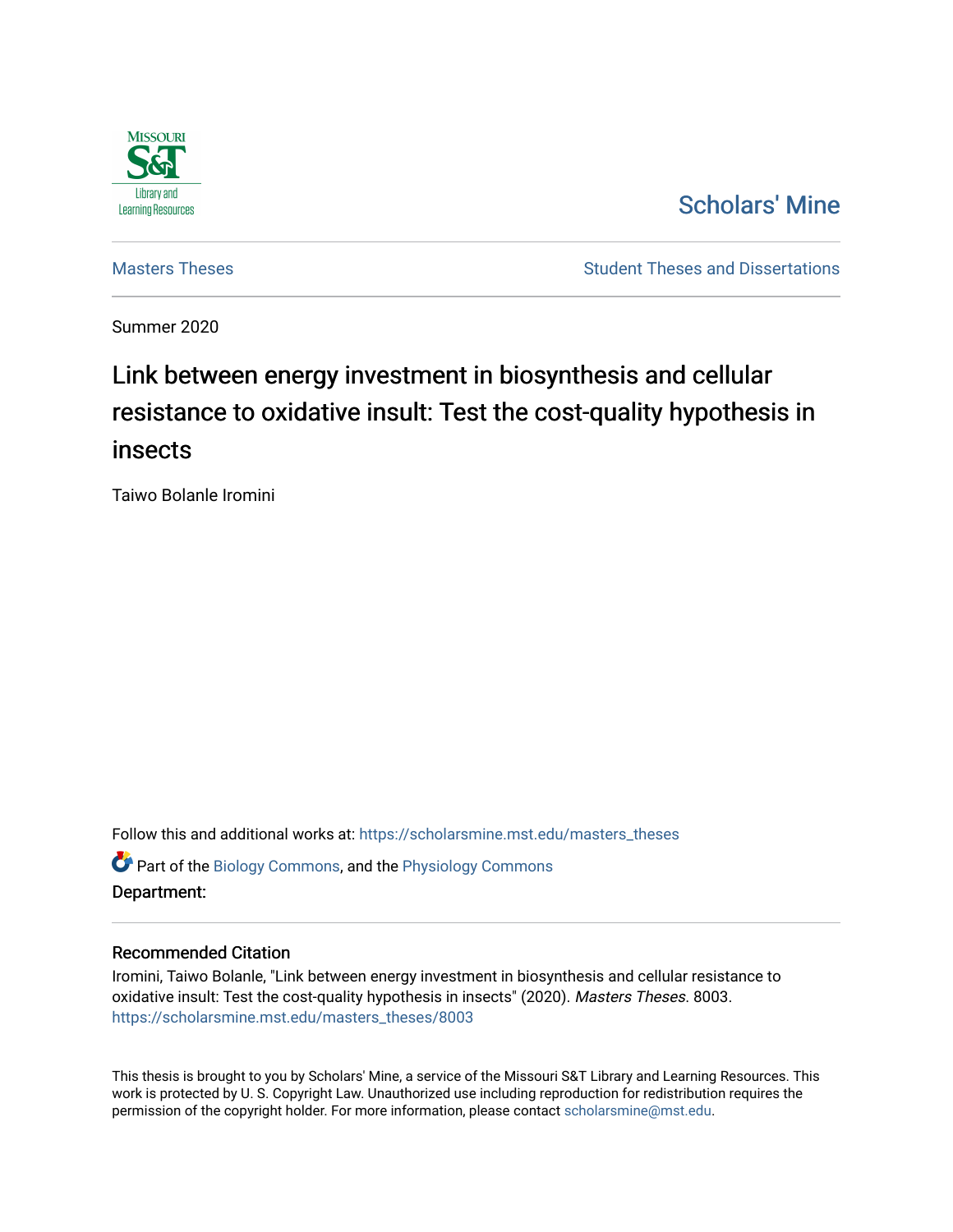

# [Scholars' Mine](https://scholarsmine.mst.edu/)

[Masters Theses](https://scholarsmine.mst.edu/masters_theses) **Student Theses and Dissertations** Student Theses and Dissertations

Summer 2020

# Link between energy investment in biosynthesis and cellular resistance to oxidative insult: Test the cost-quality hypothesis in insects

Taiwo Bolanle Iromini

Follow this and additional works at: [https://scholarsmine.mst.edu/masters\\_theses](https://scholarsmine.mst.edu/masters_theses?utm_source=scholarsmine.mst.edu%2Fmasters_theses%2F8003&utm_medium=PDF&utm_campaign=PDFCoverPages)  **C** Part of the [Biology Commons,](http://network.bepress.com/hgg/discipline/41?utm_source=scholarsmine.mst.edu%2Fmasters_theses%2F8003&utm_medium=PDF&utm_campaign=PDFCoverPages) and the Physiology Commons Department:

#### Recommended Citation

Iromini, Taiwo Bolanle, "Link between energy investment in biosynthesis and cellular resistance to oxidative insult: Test the cost-quality hypothesis in insects" (2020). Masters Theses. 8003. [https://scholarsmine.mst.edu/masters\\_theses/8003](https://scholarsmine.mst.edu/masters_theses/8003?utm_source=scholarsmine.mst.edu%2Fmasters_theses%2F8003&utm_medium=PDF&utm_campaign=PDFCoverPages) 

This thesis is brought to you by Scholars' Mine, a service of the Missouri S&T Library and Learning Resources. This work is protected by U. S. Copyright Law. Unauthorized use including reproduction for redistribution requires the permission of the copyright holder. For more information, please contact [scholarsmine@mst.edu](mailto:scholarsmine@mst.edu).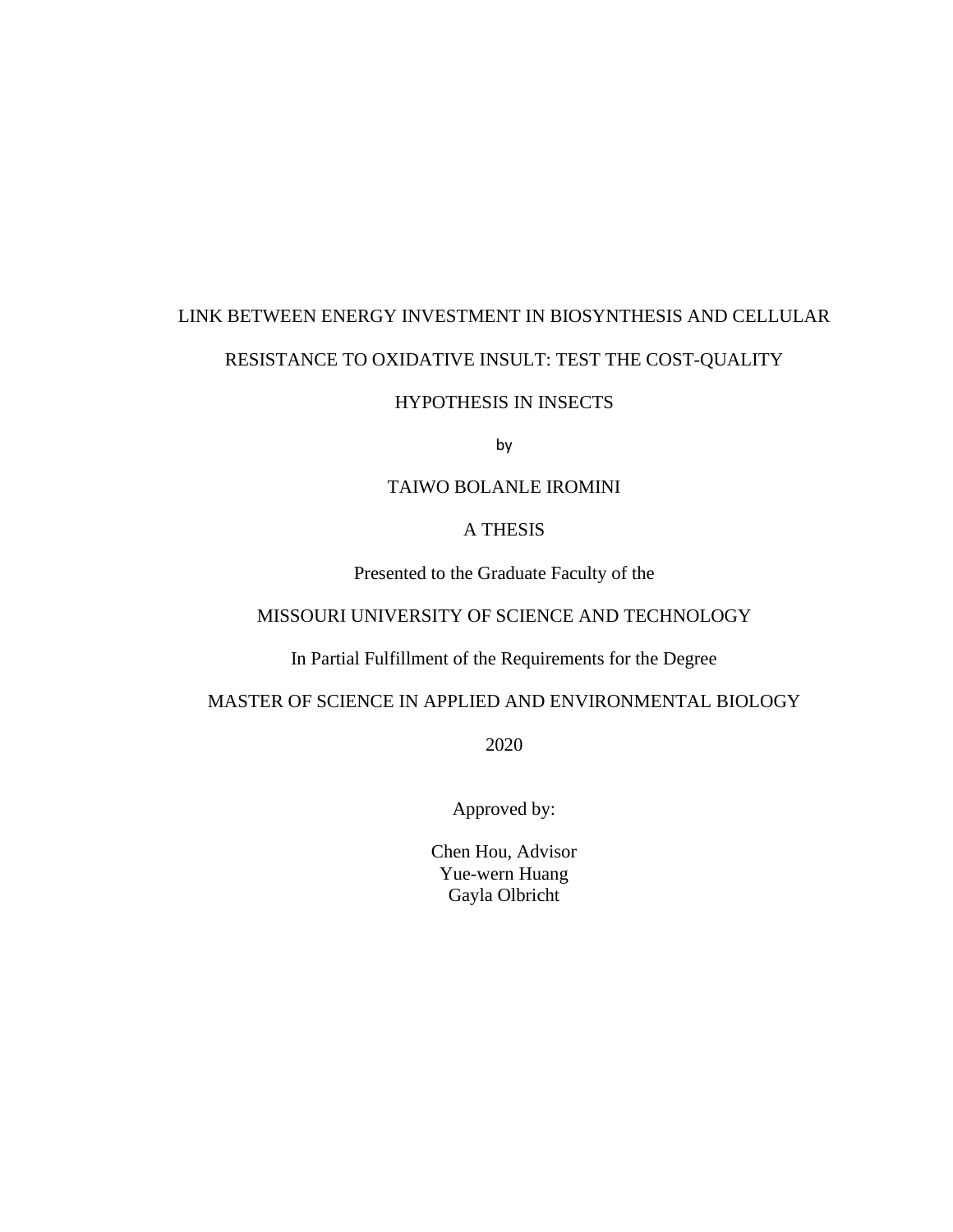# LINK BETWEEN ENERGY INVESTMENT IN BIOSYNTHESIS AND CELLULAR RESISTANCE TO OXIDATIVE INSULT: TEST THE COST-QUALITY

#### HYPOTHESIS IN INSECTS

by

#### TAIWO BOLANLE IROMINI

#### A THESIS

Presented to the Graduate Faculty of the

### MISSOURI UNIVERSITY OF SCIENCE AND TECHNOLOGY

In Partial Fulfillment of the Requirements for the Degree

#### MASTER OF SCIENCE IN APPLIED AND ENVIRONMENTAL BIOLOGY

2020

Approved by:

Chen Hou, Advisor Yue-wern Huang Gayla Olbricht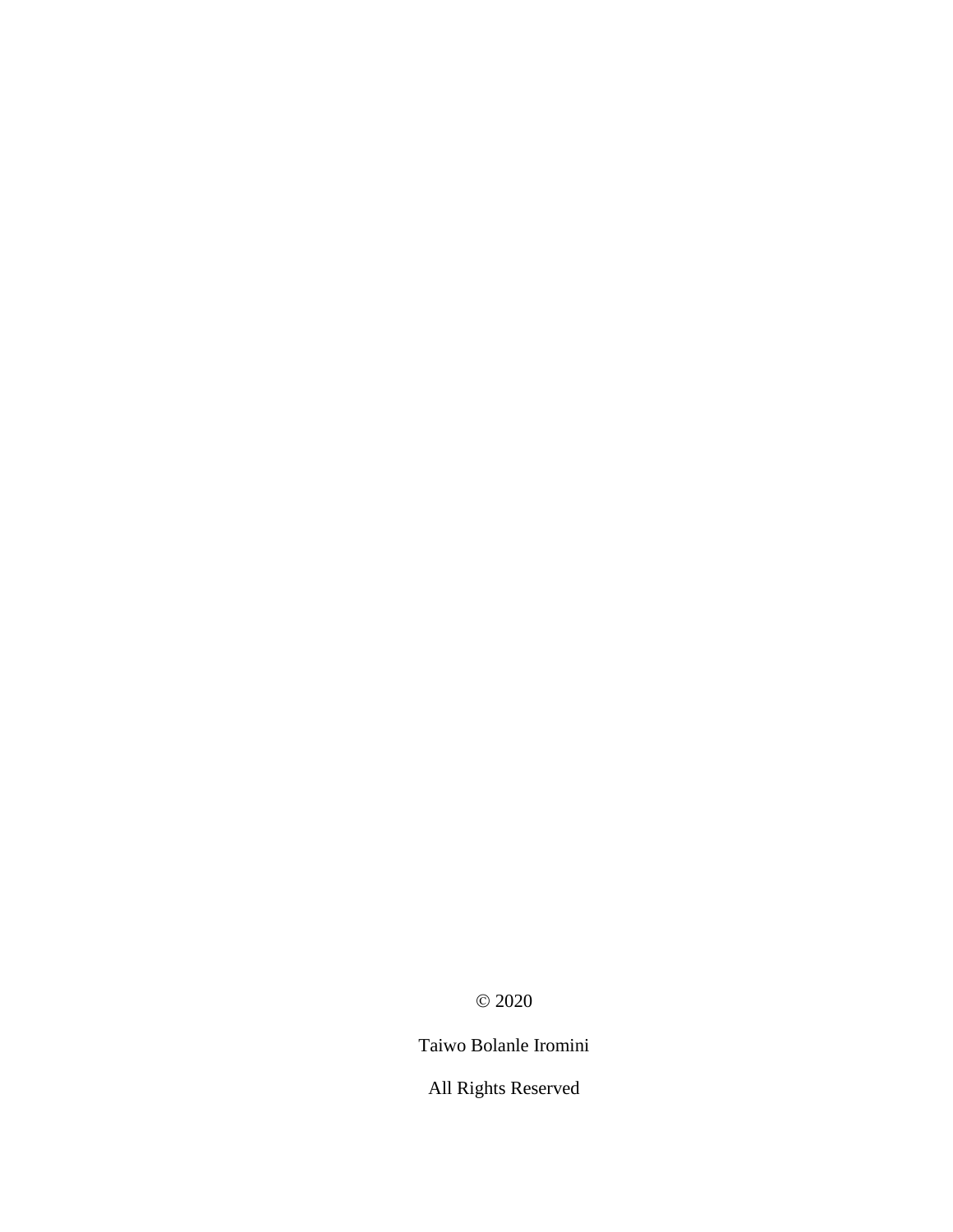© 2020

Taiwo Bolanle Iromini

All Rights Reserved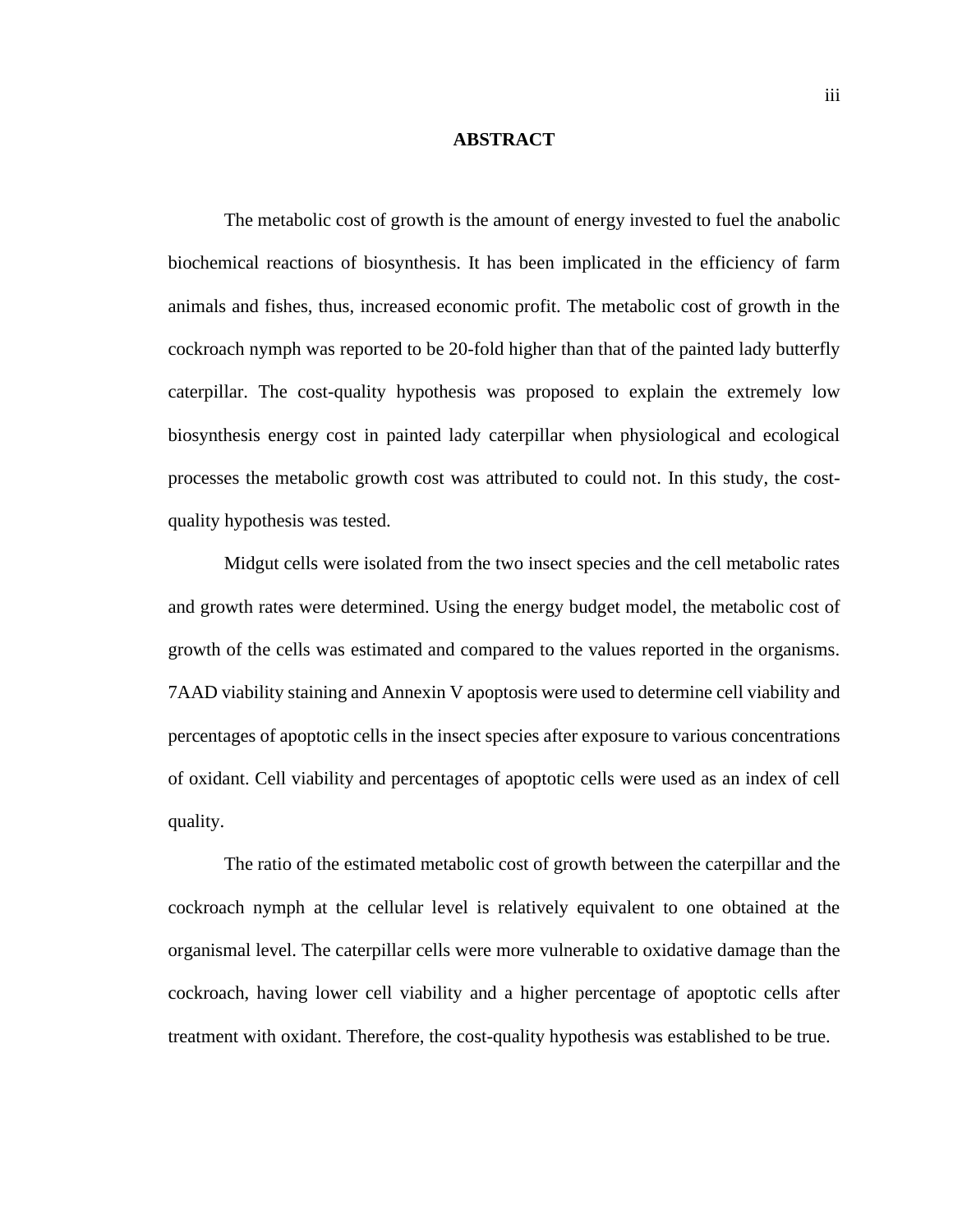#### **ABSTRACT**

The metabolic cost of growth is the amount of energy invested to fuel the anabolic biochemical reactions of biosynthesis. It has been implicated in the efficiency of farm animals and fishes, thus, increased economic profit. The metabolic cost of growth in the cockroach nymph was reported to be 20-fold higher than that of the painted lady butterfly caterpillar. The cost-quality hypothesis was proposed to explain the extremely low biosynthesis energy cost in painted lady caterpillar when physiological and ecological processes the metabolic growth cost was attributed to could not. In this study, the costquality hypothesis was tested.

Midgut cells were isolated from the two insect species and the cell metabolic rates and growth rates were determined. Using the energy budget model, the metabolic cost of growth of the cells was estimated and compared to the values reported in the organisms. 7AAD viability staining and Annexin V apoptosis were used to determine cell viability and percentages of apoptotic cells in the insect species after exposure to various concentrations of oxidant. Cell viability and percentages of apoptotic cells were used as an index of cell quality.

The ratio of the estimated metabolic cost of growth between the caterpillar and the cockroach nymph at the cellular level is relatively equivalent to one obtained at the organismal level. The caterpillar cells were more vulnerable to oxidative damage than the cockroach, having lower cell viability and a higher percentage of apoptotic cells after treatment with oxidant. Therefore, the cost-quality hypothesis was established to be true.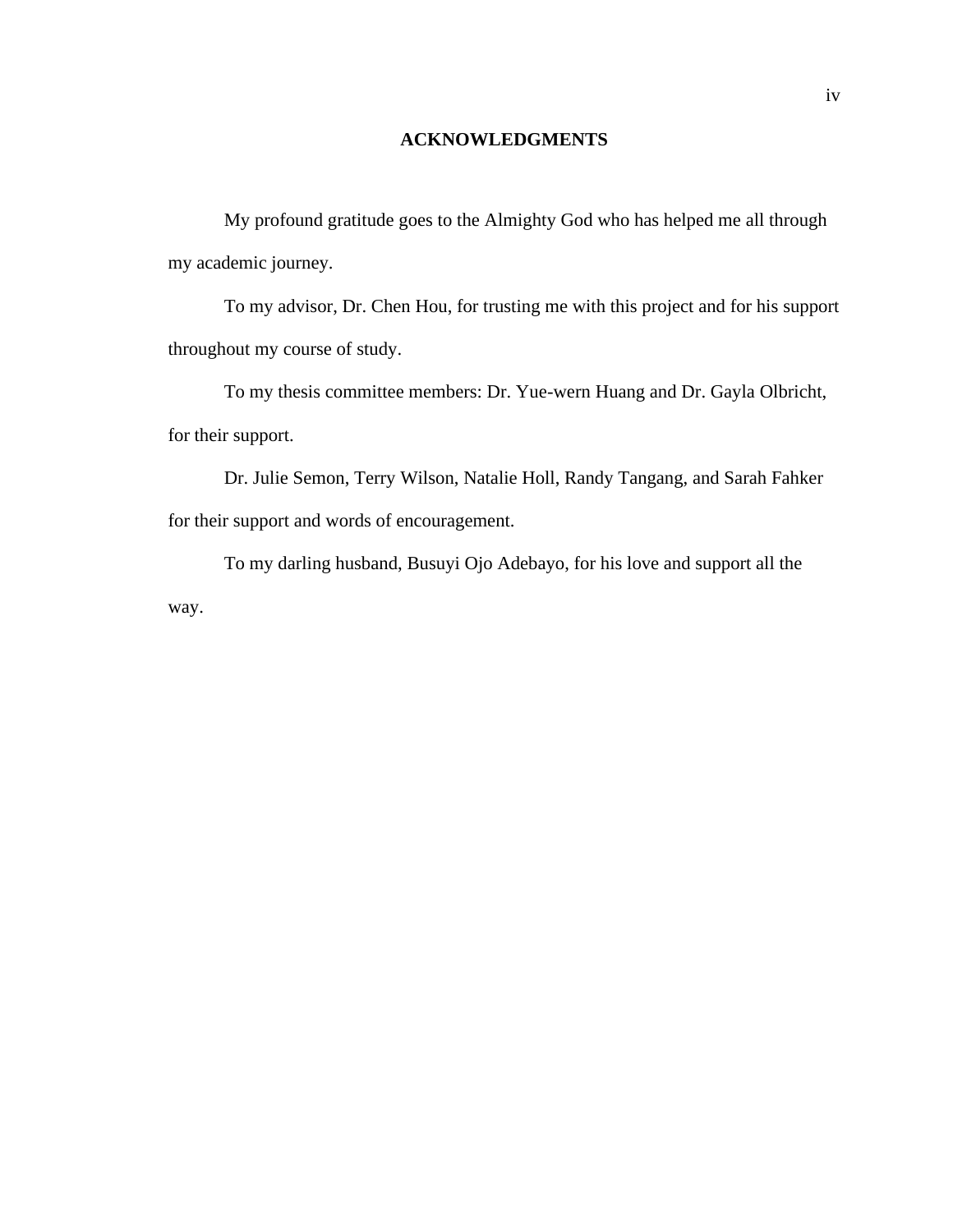#### **ACKNOWLEDGMENTS**

My profound gratitude goes to the Almighty God who has helped me all through my academic journey.

To my advisor, Dr. Chen Hou, for trusting me with this project and for his support throughout my course of study.

To my thesis committee members: Dr. Yue-wern Huang and Dr. Gayla Olbricht, for their support.

Dr. Julie Semon, Terry Wilson, Natalie Holl, Randy Tangang, and Sarah Fahker for their support and words of encouragement.

To my darling husband, Busuyi Ojo Adebayo, for his love and support all the way.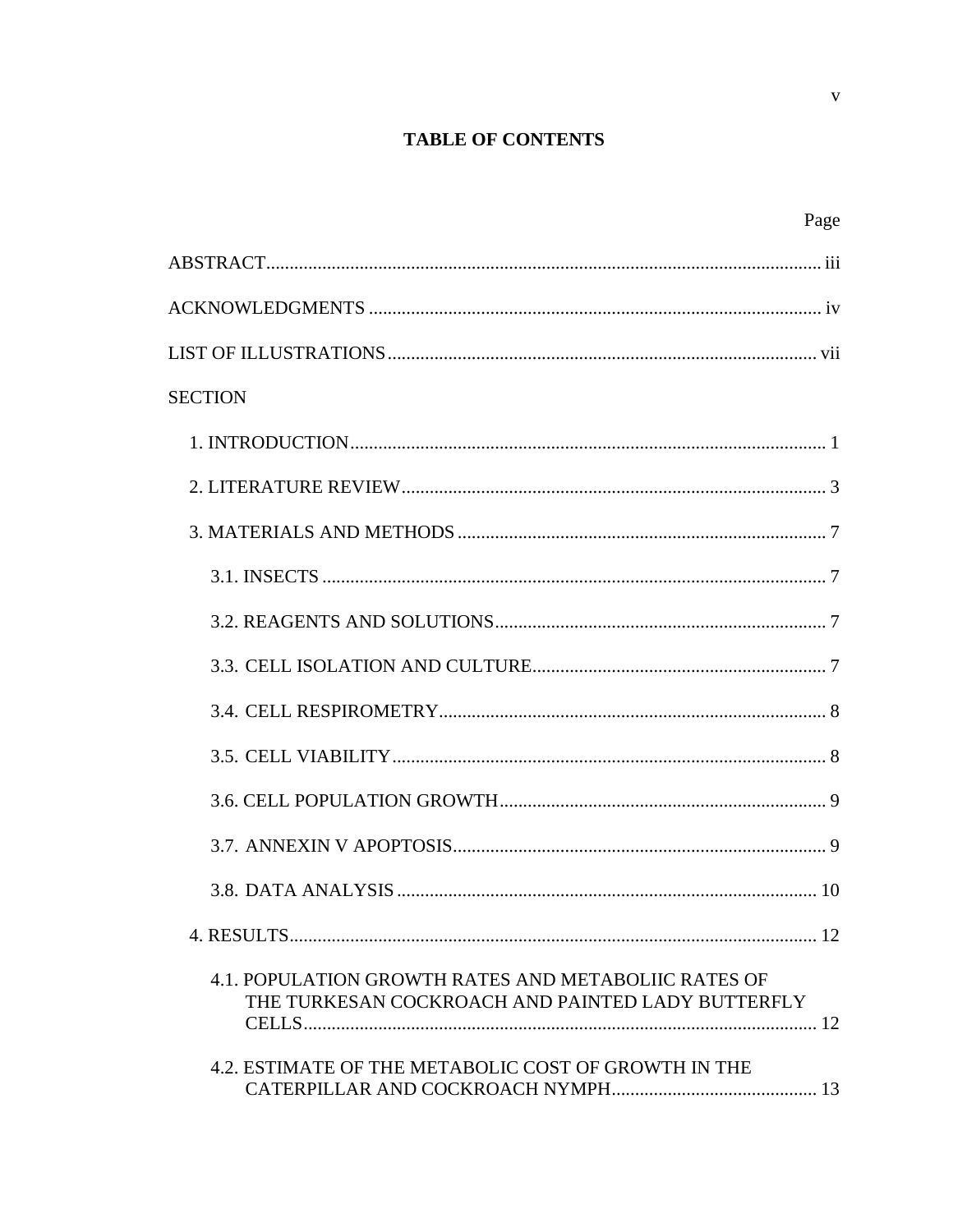## **TABLE OF CONTENTS**

| Page                                                                                                      |
|-----------------------------------------------------------------------------------------------------------|
|                                                                                                           |
|                                                                                                           |
|                                                                                                           |
| <b>SECTION</b>                                                                                            |
|                                                                                                           |
|                                                                                                           |
|                                                                                                           |
|                                                                                                           |
|                                                                                                           |
|                                                                                                           |
|                                                                                                           |
|                                                                                                           |
|                                                                                                           |
|                                                                                                           |
|                                                                                                           |
|                                                                                                           |
| 4.1. POPULATION GROWTH RATES AND METABOLIIC RATES OF<br>THE TURKESAN COCKROACH AND PAINTED LADY BUTTERFLY |
| 4.2. ESTIMATE OF THE METABOLIC COST OF GROWTH IN THE                                                      |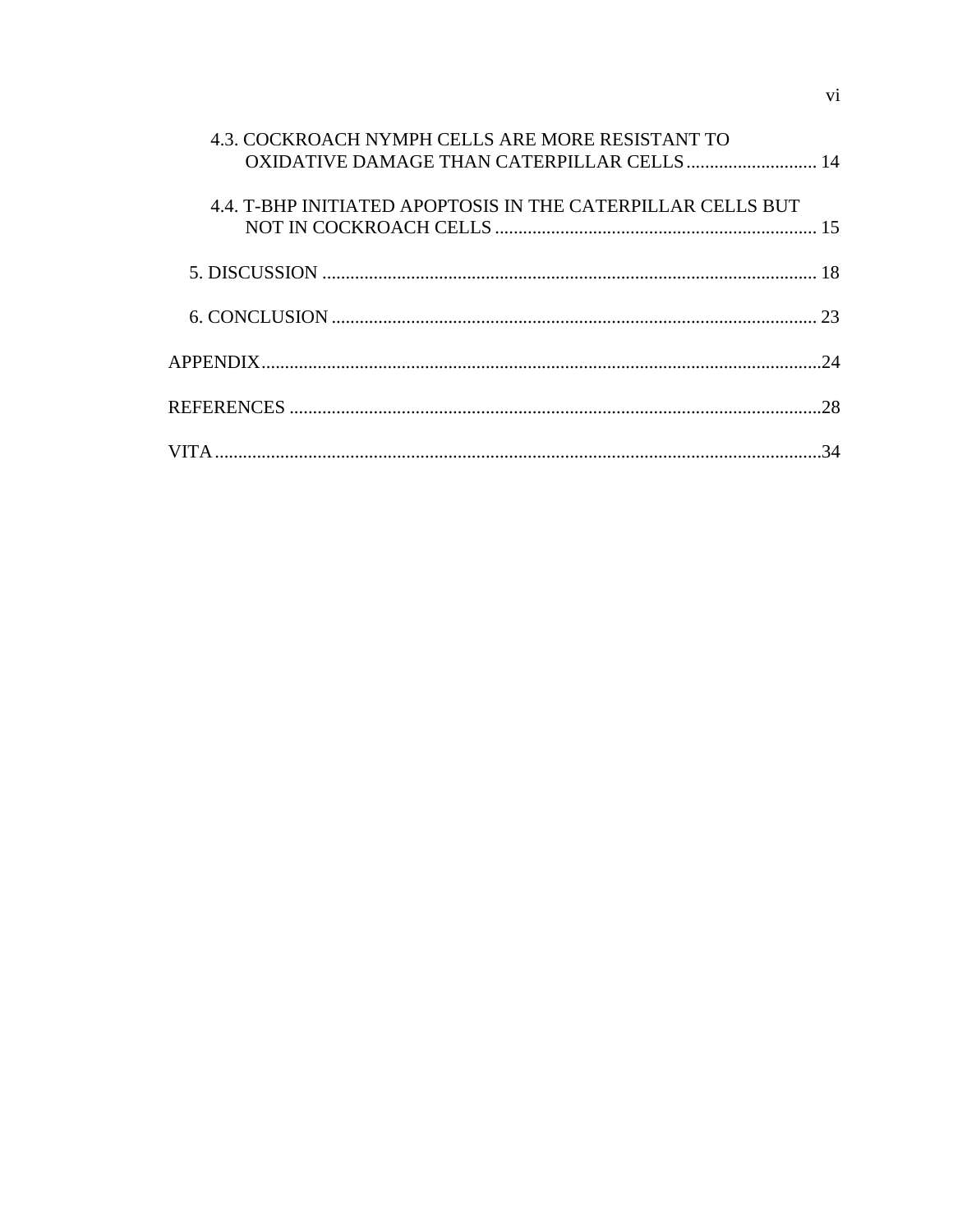| 4.3. COCKROACH NYMPH CELLS ARE MORE RESISTANT TO<br>OXIDATIVE DAMAGE THAN CATERPILLAR CELLS  14 |  |
|-------------------------------------------------------------------------------------------------|--|
| 4.4. T-BHP INITIATED APOPTOSIS IN THE CATERPILLAR CELLS BUT                                     |  |
|                                                                                                 |  |
|                                                                                                 |  |
|                                                                                                 |  |
|                                                                                                 |  |
|                                                                                                 |  |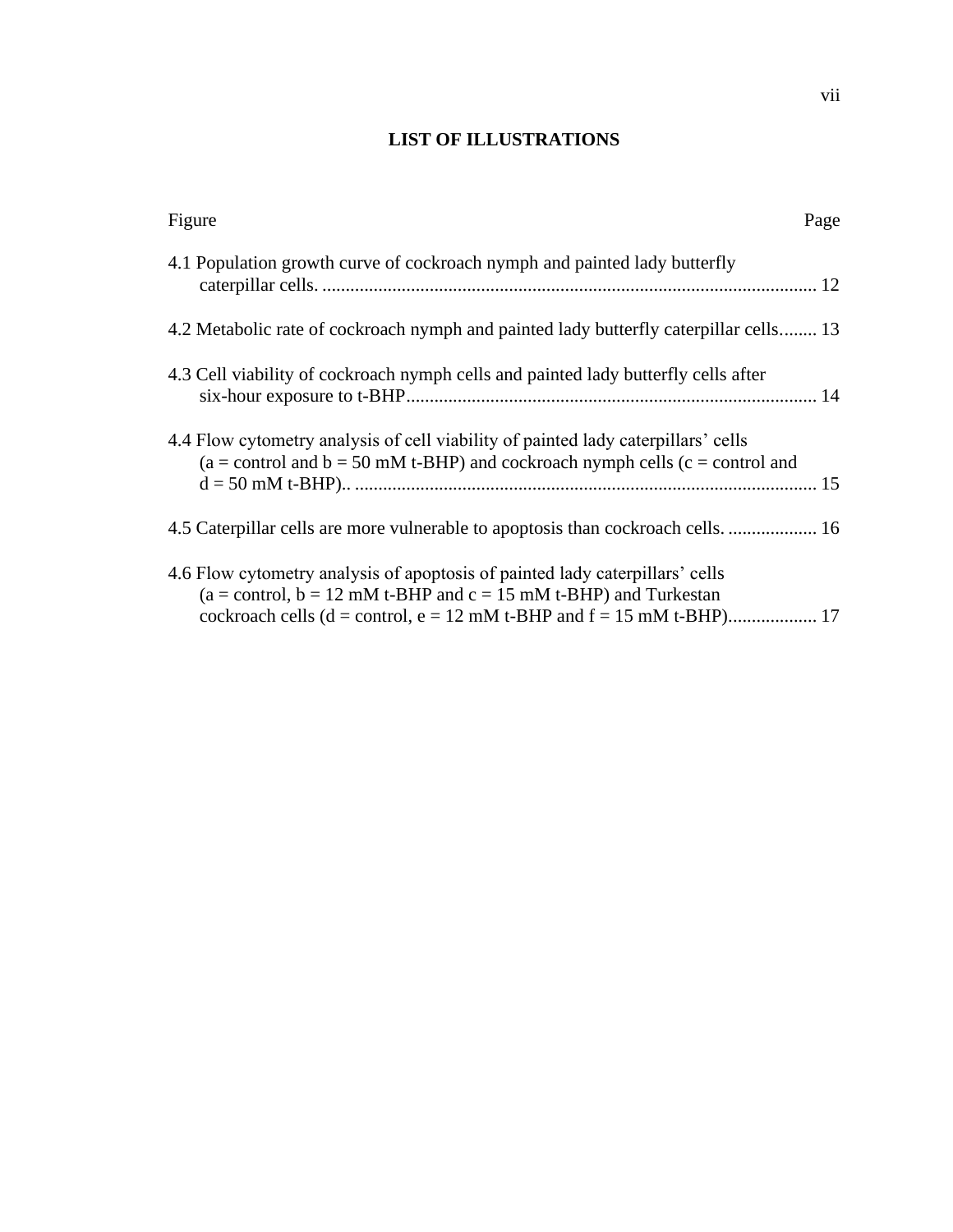### **LIST OF ILLUSTRATIONS**

| Figure                                                                                                                                                                   | Page |
|--------------------------------------------------------------------------------------------------------------------------------------------------------------------------|------|
| 4.1 Population growth curve of cockroach nymph and painted lady butterfly                                                                                                |      |
| 4.2 Metabolic rate of cockroach nymph and painted lady butterfly caterpillar cells 13                                                                                    |      |
| 4.3 Cell viability of cockroach nymph cells and painted lady butterfly cells after                                                                                       |      |
| 4.4 Flow cytometry analysis of cell viability of painted lady caterpillars' cells<br>$(a = control and b = 50$ mM t-BHP) and cockroach nymph cells $(c = control and$    |      |
| 4.5 Caterpillar cells are more vulnerable to apoptosis than cockroach cells.  16                                                                                         |      |
| 4.6 Flow cytometry analysis of apoptosis of painted lady caterpillars' cells<br>$(a = control, b = 12 \text{ mM } t$ -BHP and $c = 15 \text{ mM } t$ -BHP) and Turkestan |      |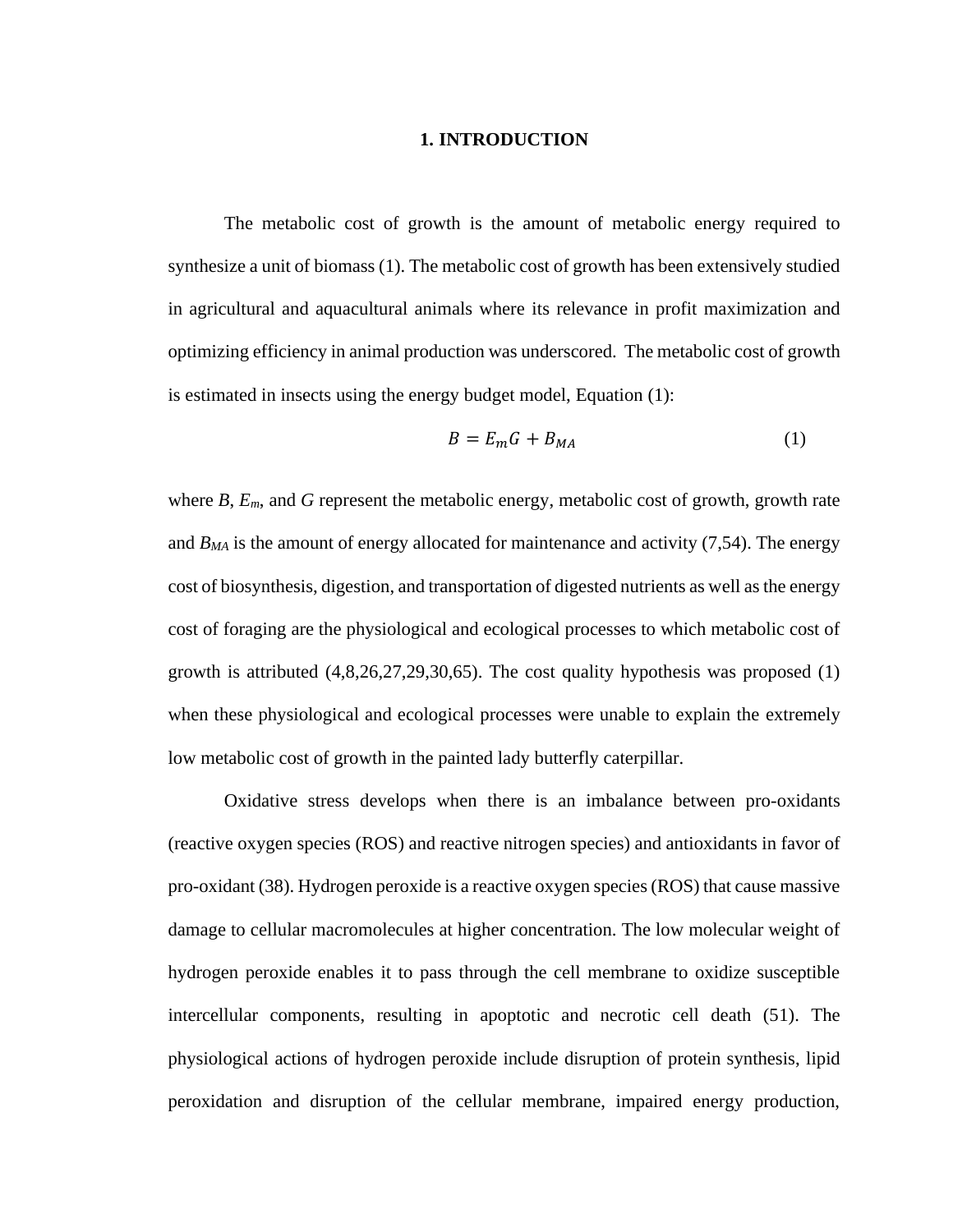#### **1. INTRODUCTION**

The metabolic cost of growth is the amount of metabolic energy required to synthesize a unit of biomass (1). The metabolic cost of growth has been extensively studied in agricultural and aquacultural animals where its relevance in profit maximization and optimizing efficiency in animal production was underscored. The metabolic cost of growth is estimated in insects using the energy budget model, Equation (1):

$$
B = E_m G + B_{MA} \tag{1}
$$

where *B*, *Em*, and *G* represent the metabolic energy, metabolic cost of growth, growth rate and *BMA* is the amount of energy allocated for maintenance and activity (7,54). The energy cost of biosynthesis, digestion, and transportation of digested nutrients as well as the energy cost of foraging are the physiological and ecological processes to which metabolic cost of growth is attributed  $(4,8,26,27,29,30,65)$ . The cost quality hypothesis was proposed  $(1)$ when these physiological and ecological processes were unable to explain the extremely low metabolic cost of growth in the painted lady butterfly caterpillar.

Oxidative stress develops when there is an imbalance between pro-oxidants (reactive oxygen species (ROS) and reactive nitrogen species) and antioxidants in favor of pro-oxidant (38). Hydrogen peroxide is a reactive oxygen species (ROS) that cause massive damage to cellular macromolecules at higher concentration. The low molecular weight of hydrogen peroxide enables it to pass through the cell membrane to oxidize susceptible intercellular components, resulting in apoptotic and necrotic cell death (51). The physiological actions of hydrogen peroxide include disruption of protein synthesis, lipid peroxidation and disruption of the cellular membrane, impaired energy production,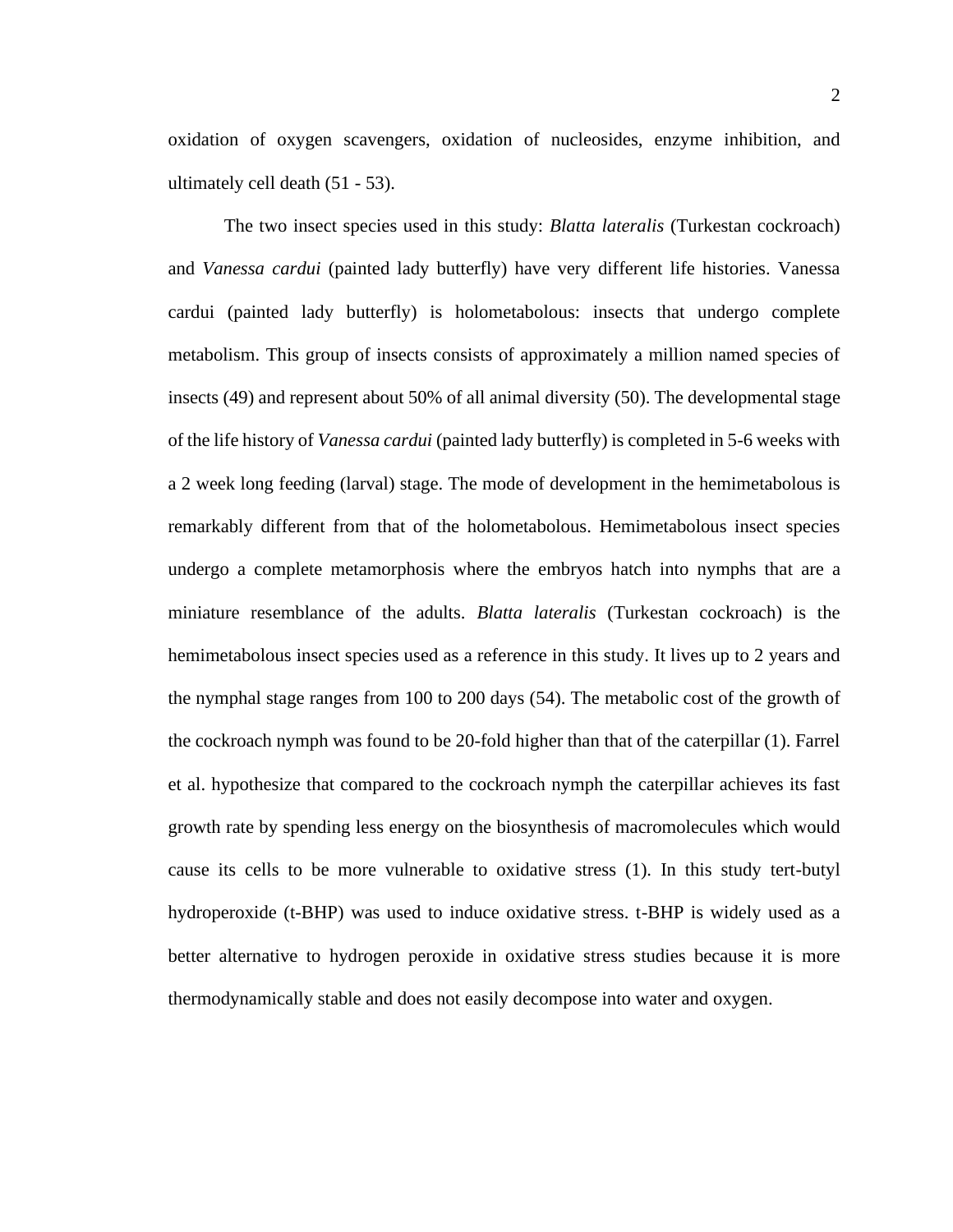oxidation of oxygen scavengers, oxidation of nucleosides, enzyme inhibition, and ultimately cell death (51 - 53).

The two insect species used in this study: *Blatta lateralis* (Turkestan cockroach) and *Vanessa cardui* (painted lady butterfly) have very different life histories. Vanessa cardui (painted lady butterfly) is holometabolous: insects that undergo complete metabolism. This group of insects consists of approximately a million named species of insects (49) and represent about 50% of all animal diversity (50). The developmental stage of the life history of *Vanessa cardui* (painted lady butterfly) is completed in 5-6 weeks with a 2 week long feeding (larval) stage. The mode of development in the hemimetabolous is remarkably different from that of the holometabolous. Hemimetabolous insect species undergo a complete metamorphosis where the embryos hatch into nymphs that are a miniature resemblance of the adults. *Blatta lateralis* (Turkestan cockroach) is the hemimetabolous insect species used as a reference in this study. It lives up to 2 years and the nymphal stage ranges from 100 to 200 days (54). The metabolic cost of the growth of the cockroach nymph was found to be 20-fold higher than that of the caterpillar (1). Farrel et al. hypothesize that compared to the cockroach nymph the caterpillar achieves its fast growth rate by spending less energy on the biosynthesis of macromolecules which would cause its cells to be more vulnerable to oxidative stress (1). In this study tert-butyl hydroperoxide (t-BHP) was used to induce oxidative stress. t-BHP is widely used as a better alternative to hydrogen peroxide in oxidative stress studies because it is more thermodynamically stable and does not easily decompose into water and oxygen.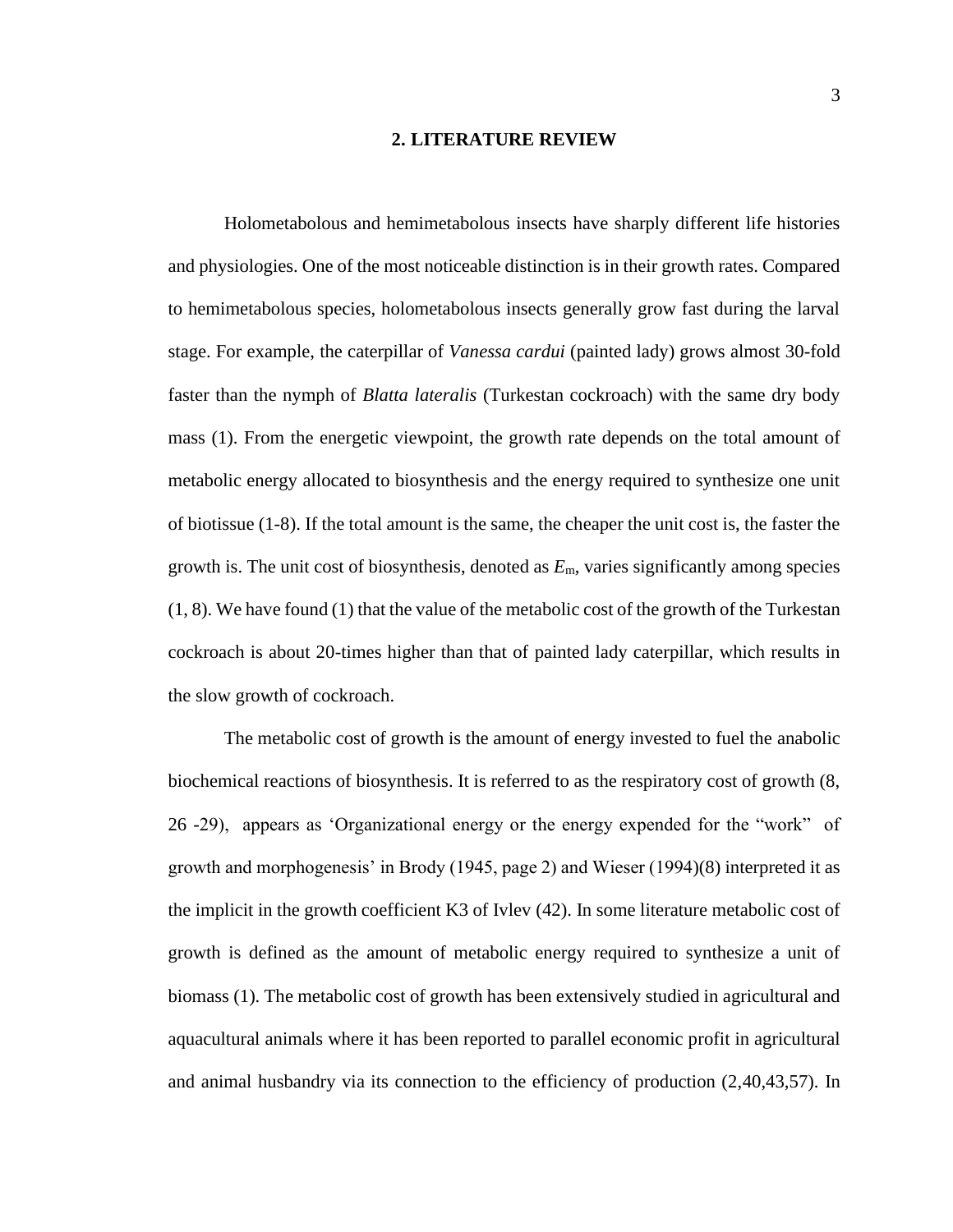#### **2. LITERATURE REVIEW**

Holometabolous and hemimetabolous insects have sharply different life histories and physiologies. One of the most noticeable distinction is in their growth rates. Compared to hemimetabolous species, holometabolous insects generally grow fast during the larval stage. For example, the caterpillar of *Vanessa cardui* (painted lady) grows almost 30-fold faster than the nymph of *Blatta lateralis* (Turkestan cockroach) with the same dry body mass [\(1\)](#page-35-0). From the energetic viewpoint, the growth rate depends on the total amount of metabolic energy allocated to biosynthesis and the energy required to synthesize one unit of biotissue [\(1-8\)](#page-35-0). If the total amount is the same, the cheaper the unit cost is, the faster the growth is. The unit cost of biosynthesis, denoted as *E*m, varies significantly among species  $(1, 8)$  $(1, 8)$ . We have found  $(1)$  that the value of the metabolic cost of the growth of the Turkestan cockroach is about 20-times higher than that of painted lady caterpillar, which results in the slow growth of cockroach.

The metabolic cost of growth is the amount of energy invested to fuel the anabolic biochemical reactions of biosynthesis. It is referred to as the respiratory cost of growth (8, 26 -29), appears as 'Organizational energy or the energy expended for the "work" of growth and morphogenesis' in Brody (1945, page 2) and Wieser (1994)(8) interpreted it as the implicit in the growth coefficient K3 of Ivlev (42). In some literature metabolic cost of growth is defined as the amount of metabolic energy required to synthesize a unit of biomass (1). The metabolic cost of growth has been extensively studied in agricultural and aquacultural animals where it has been reported to parallel economic profit in agricultural and animal husbandry via its connection to the efficiency of production (2,40,43,57). In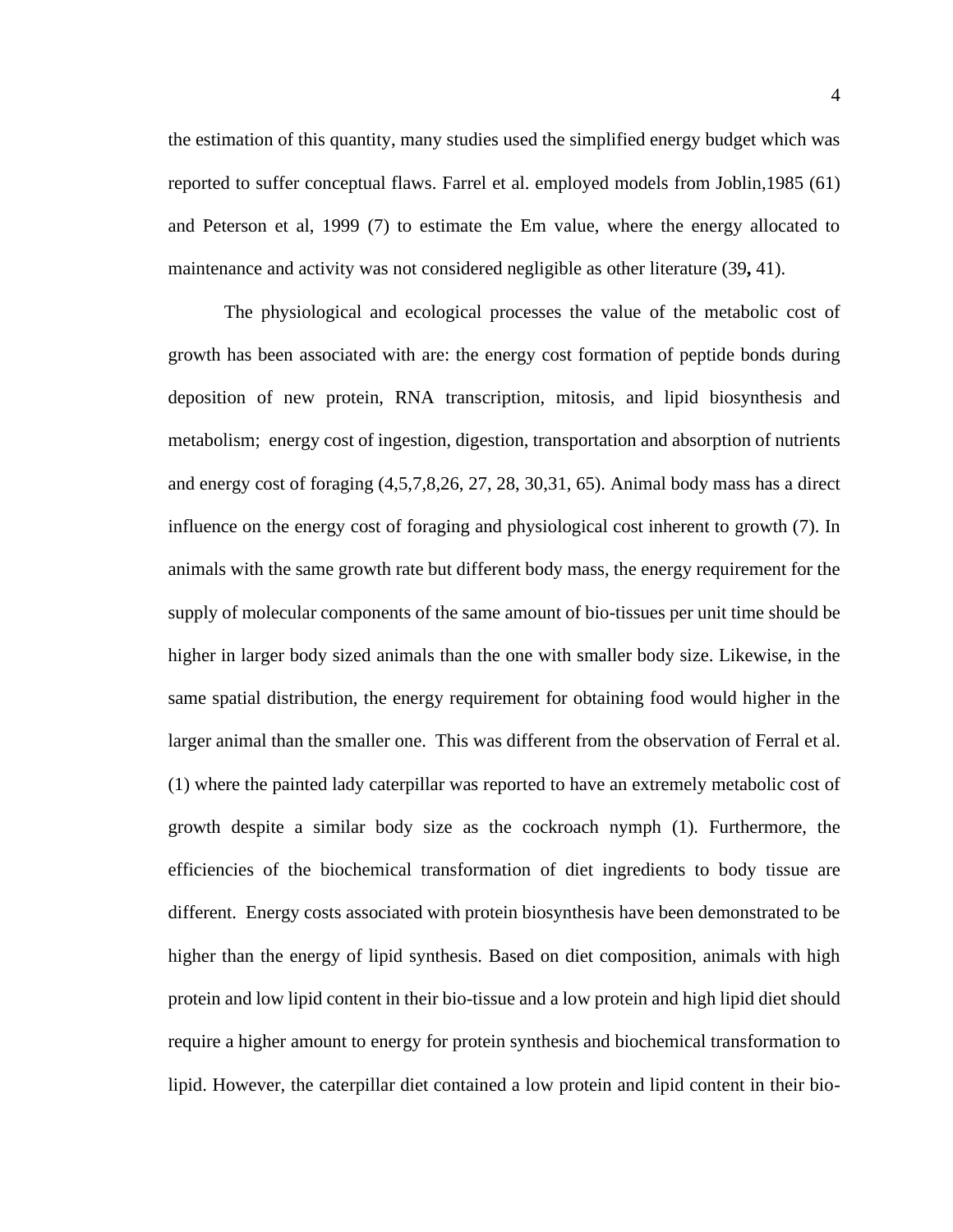the estimation of this quantity, many studies used the simplified energy budget which was reported to suffer conceptual flaws. Farrel et al. employed models from Joblin,1985 (61) and Peterson et al, 1999 (7) to estimate the Em value, where the energy allocated to maintenance and activity was not considered negligible as other literature (39**,** 41).

The physiological and ecological processes the value of the metabolic cost of growth has been associated with are: the energy cost formation of peptide bonds during deposition of new protein, RNA transcription, mitosis, and lipid biosynthesis and metabolism; energy cost of ingestion, digestion, transportation and absorption of nutrients and energy cost of foraging (4,5,7,8,26, 27, 28, 30,31, 65). Animal body mass has a direct influence on the energy cost of foraging and physiological cost inherent to growth (7). In animals with the same growth rate but different body mass, the energy requirement for the supply of molecular components of the same amount of bio-tissues per unit time should be higher in larger body sized animals than the one with smaller body size. Likewise, in the same spatial distribution, the energy requirement for obtaining food would higher in the larger animal than the smaller one. This was different from the observation of Ferral et al. (1) where the painted lady caterpillar was reported to have an extremely metabolic cost of growth despite a similar body size as the cockroach nymph (1). Furthermore, the efficiencies of the biochemical transformation of diet ingredients to body tissue are different. Energy costs associated with protein biosynthesis have been demonstrated to be higher than the energy of lipid synthesis. Based on diet composition, animals with high protein and low lipid content in their bio-tissue and a low protein and high lipid diet should require a higher amount to energy for protein synthesis and biochemical transformation to lipid. However, the caterpillar diet contained a low protein and lipid content in their bio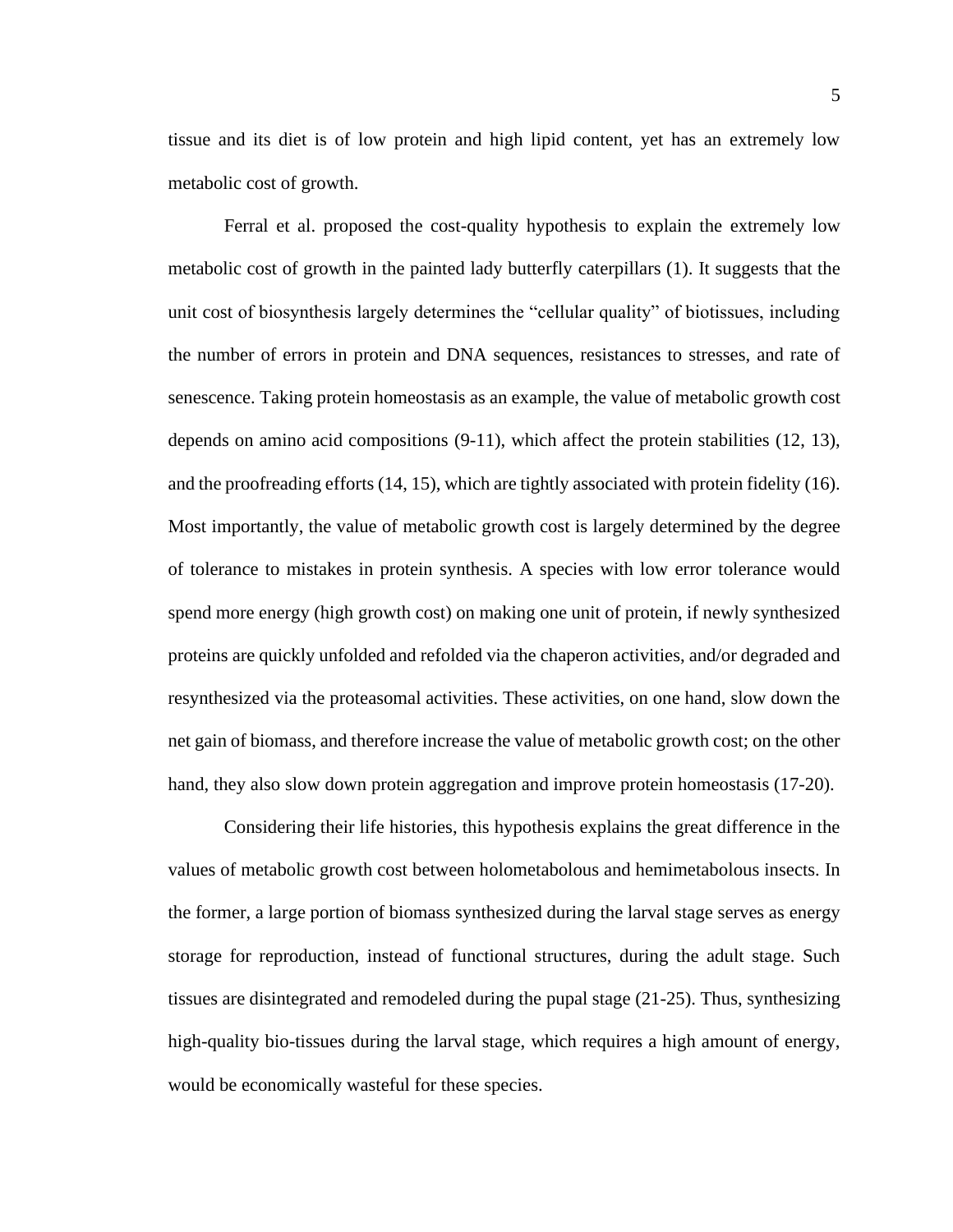tissue and its diet is of low protein and high lipid content, yet has an extremely low metabolic cost of growth.

Ferral et al. proposed the cost-quality hypothesis to explain the extremely low metabolic cost of growth in the painted lady butterfly caterpillars (1). It suggests that the unit cost of biosynthesis largely determines the "cellular quality" of biotissues, including the number of errors in protein and DNA sequences, resistances to stresses, and rate of senescence. Taking protein homeostasis as an example, the value of metabolic growth cost depends on amino acid compositions [\(9-11\)](#page-35-2), which affect the protein stabilities [\(12,](#page-35-3) [13\)](#page-36-0), and the proofreading efforts [\(14,](#page-36-1) [15\)](#page-36-2), which are tightly associated with protein fidelity [\(16\)](#page-36-3). Most importantly, the value of metabolic growth cost is largely determined by the degree of tolerance to mistakes in protein synthesis. A species with low error tolerance would spend more energy (high growth cost) on making one unit of protein, if newly synthesized proteins are quickly unfolded and refolded via the chaperon activities, and/or degraded and resynthesized via the proteasomal activities. These activities, on one hand, slow down the net gain of biomass, and therefore increase the value of metabolic growth cost; on the other hand, they also slow down protein aggregation and improve protein homeostasis [\(17-20\)](#page-36-4).

Considering their life histories, this hypothesis explains the great difference in the values of metabolic growth cost between holometabolous and hemimetabolous insects. In the former, a large portion of biomass synthesized during the larval stage serves as energy storage for reproduction, instead of functional structures, during the adult stage. Such tissues are disintegrated and remodeled during the pupal stage [\(21-25\)](#page-36-5). Thus, synthesizing high-quality bio-tissues during the larval stage, which requires a high amount of energy, would be economically wasteful for these species.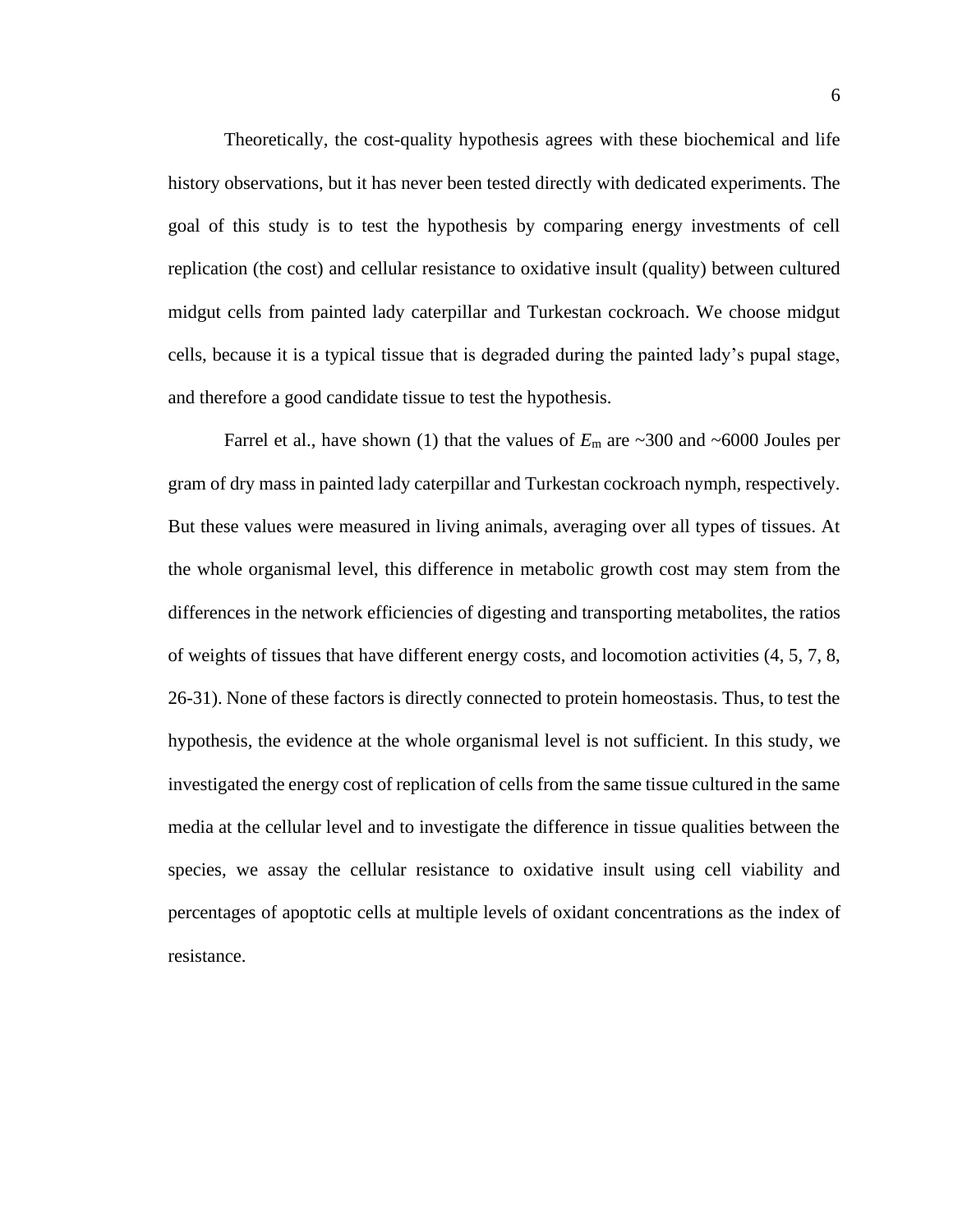Theoretically, the cost-quality hypothesis agrees with these biochemical and life history observations, but it has never been tested directly with dedicated experiments. The goal of this study is to test the hypothesis by comparing energy investments of cell replication (the cost) and cellular resistance to oxidative insult (quality) between cultured midgut cells from painted lady caterpillar and Turkestan cockroach. We choose midgut cells, because it is a typical tissue that is degraded during the painted lady's pupal stage, and therefore a good candidate tissue to test the hypothesis.

Farrel et al., have shown [\(1\)](#page-35-0) that the values of  $E_m$  are  $\sim 300$  and  $\sim 6000$  Joules per gram of dry mass in painted lady caterpillar and Turkestan cockroach nymph, respectively. But these values were measured in living animals, averaging over all types of tissues. At the whole organismal level, this difference in metabolic growth cost may stem from the differences in the network efficiencies of digesting and transporting metabolites, the ratios of weights of tissues that have different energy costs, and locomotion activities [\(4,](#page-35-4) [5,](#page-35-5) [7,](#page-35-6) [8,](#page-35-1) [26-31\)](#page-37-0). None of these factors is directly connected to protein homeostasis. Thus, to test the hypothesis, the evidence at the whole organismal level is not sufficient. In this study, we investigated the energy cost of replication of cells from the same tissue cultured in the same media at the cellular level and to investigate the difference in tissue qualities between the species, we assay the cellular resistance to oxidative insult using cell viability and percentages of apoptotic cells at multiple levels of oxidant concentrations as the index of resistance.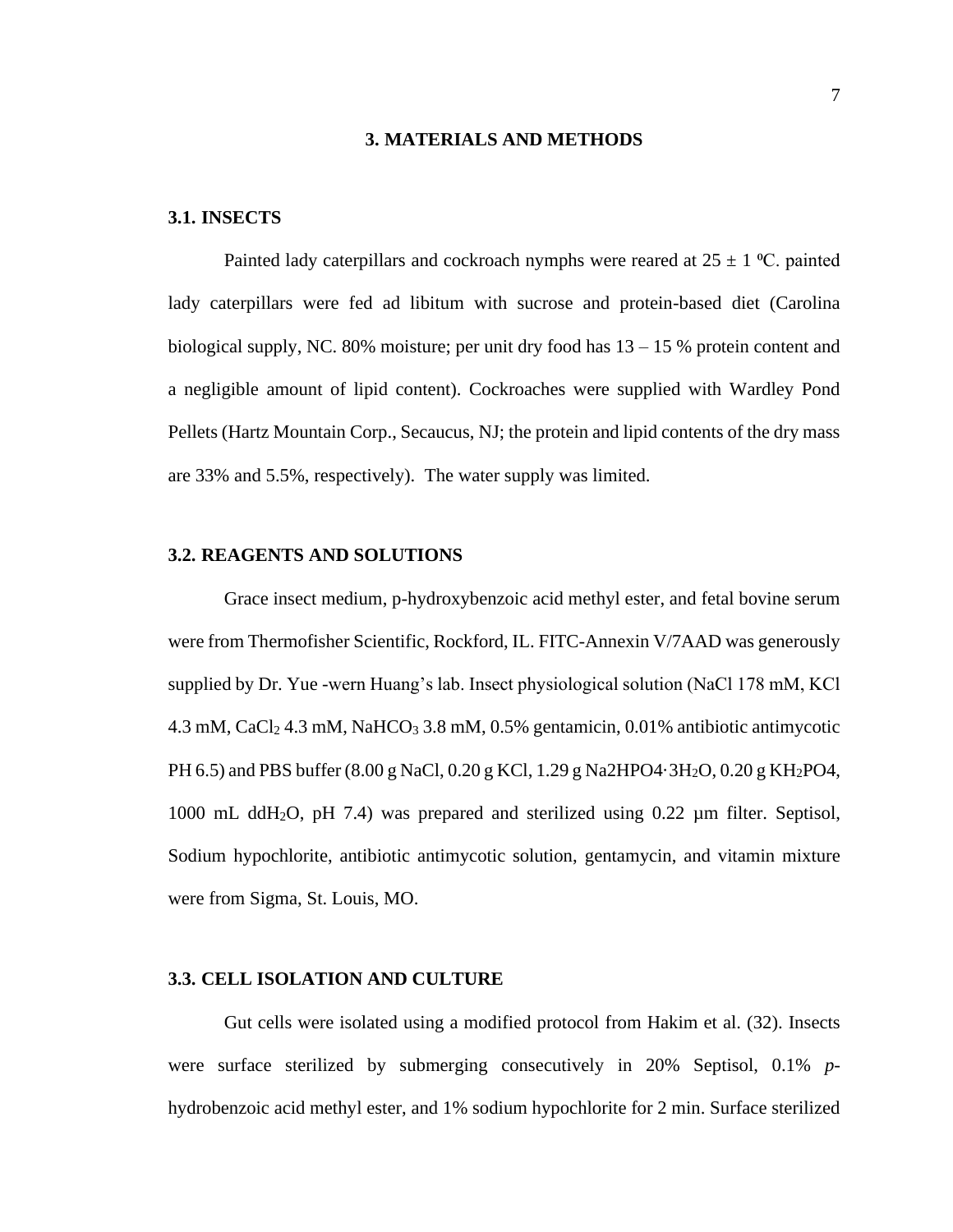#### **3. MATERIALS AND METHODS**

#### **3.1. INSECTS**

Painted lady caterpillars and cockroach nymphs were reared at  $25 \pm 1$  °C. painted lady caterpillars were fed ad libitum with sucrose and protein-based diet (Carolina biological supply, NC. 80% moisture; per unit dry food has  $13 - 15$  % protein content and a negligible amount of lipid content). Cockroaches were supplied with Wardley Pond Pellets (Hartz Mountain Corp., Secaucus, NJ; the protein and lipid contents of the dry mass are 33% and 5.5%, respectively). The water supply was limited.

#### **3.2. REAGENTS AND SOLUTIONS**

Grace insect medium, p-hydroxybenzoic acid methyl ester, and fetal bovine serum were from Thermofisher Scientific, Rockford, IL. FITC-Annexin V/7AAD was generously supplied by Dr. Yue -wern Huang's lab. Insect physiological solution (NaCl 178 mM, KCl 4.3 mM, CaCl<sub>2</sub> 4.3 mM, NaHCO<sub>3</sub> 3.8 mM, 0.5% gentamicin, 0.01% antibiotic antimycotic PH 6.5) and PBS buffer (8.00 g NaCl, 0.20 g KCl, 1.29 g Na2HPO4·3H<sub>2</sub>O, 0.20 g KH<sub>2</sub>PO4, 1000 mL ddH2O, pH 7.4) was prepared and sterilized using 0.22 µm filter. Septisol, Sodium hypochlorite, antibiotic antimycotic solution, gentamycin, and vitamin mixture were from Sigma, St. Louis, MO.

#### **3.3. CELL ISOLATION AND CULTURE**

Gut cells were isolated using a modified protocol from Hakim et al. (32). Insects were surface sterilized by submerging consecutively in 20% Septisol, 0.1% *p*hydrobenzoic acid methyl ester, and 1% sodium hypochlorite for 2 min. Surface sterilized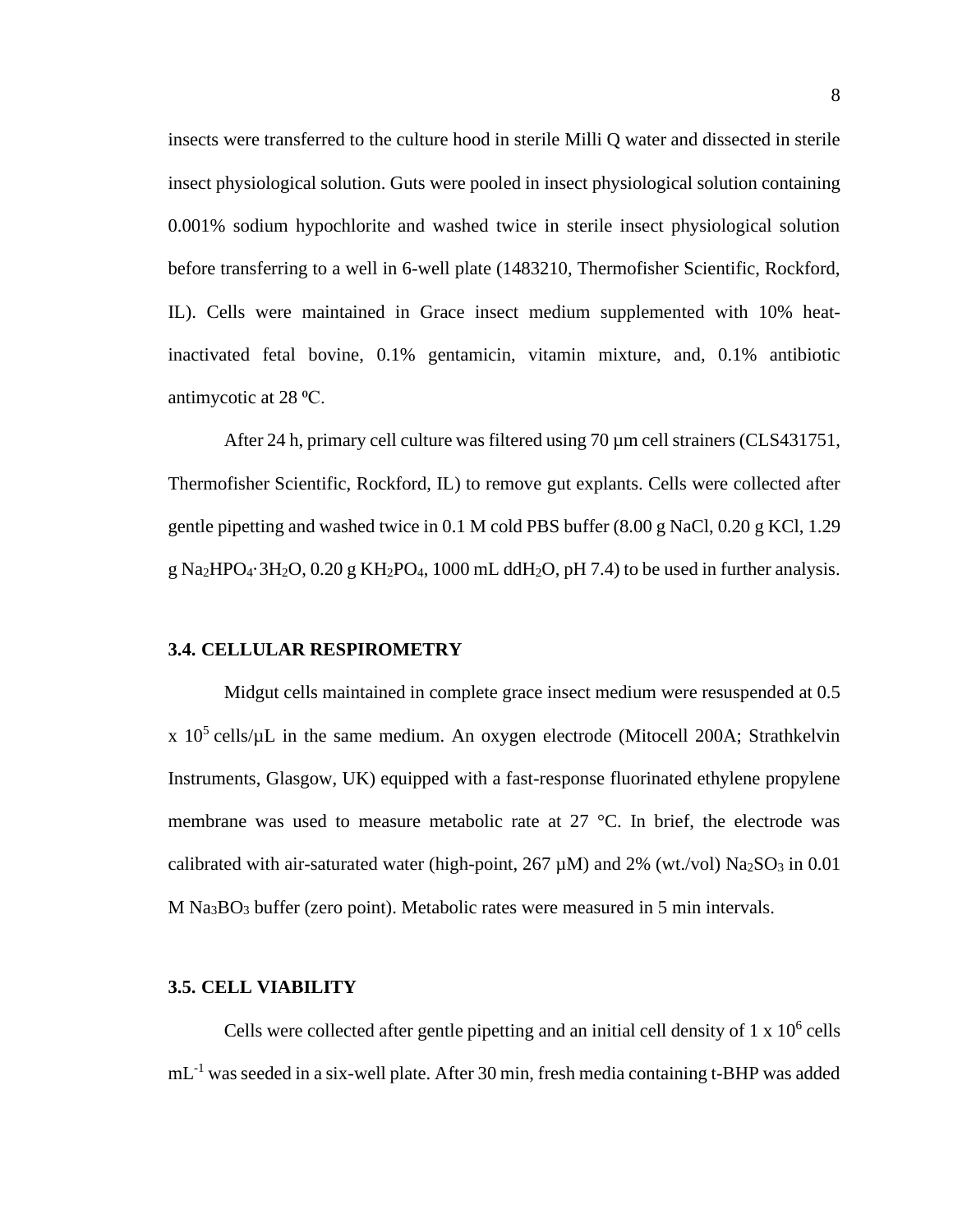insects were transferred to the culture hood in sterile Milli Q water and dissected in sterile insect physiological solution. Guts were pooled in insect physiological solution containing 0.001% sodium hypochlorite and washed twice in sterile insect physiological solution before transferring to a well in 6-well plate (1483210, Thermofisher Scientific, Rockford, IL). Cells were maintained in Grace insect medium supplemented with 10% heatinactivated fetal bovine, 0.1% gentamicin, vitamin mixture, and, 0.1% antibiotic antimycotic at 28 <sup>o</sup>C.

After 24 h, primary cell culture was filtered using 70  $\mu$ m cell strainers (CLS431751, Thermofisher Scientific, Rockford, IL) to remove gut explants. Cells were collected after gentle pipetting and washed twice in 0.1 M cold PBS buffer (8.00 g NaCl, 0.20 g KCl, 1.29 g Na<sub>2</sub>HPO<sub>4</sub>·3H<sub>2</sub>O, 0.20 g KH<sub>2</sub>PO<sub>4</sub>, 1000 mL ddH<sub>2</sub>O, pH 7.4) to be used in further analysis.

#### **3.4. CELLULAR RESPIROMETRY**

Midgut cells maintained in complete grace insect medium were resuspended at 0.5 x  $10^5$  cells/ $\mu$ L in the same medium. An oxygen electrode (Mitocell 200A; Strathkelvin Instruments, Glasgow, UK) equipped with a fast-response fluorinated ethylene propylene membrane was used to measure metabolic rate at 27 °C. In brief, the electrode was calibrated with air-saturated water (high-point,  $267 \mu M$ ) and  $2\%$  (wt./vol) Na<sub>2</sub>SO<sub>3</sub> in 0.01 M Na<sub>3</sub>BO<sub>3</sub> buffer (zero point). Metabolic rates were measured in 5 min intervals.

#### **3.5. CELL VIABILITY**

Cells were collected after gentle pipetting and an initial cell density of  $1 \times 10^6$  cells mL<sup>-1</sup> was seeded in a six-well plate. After 30 min, fresh media containing t-BHP was added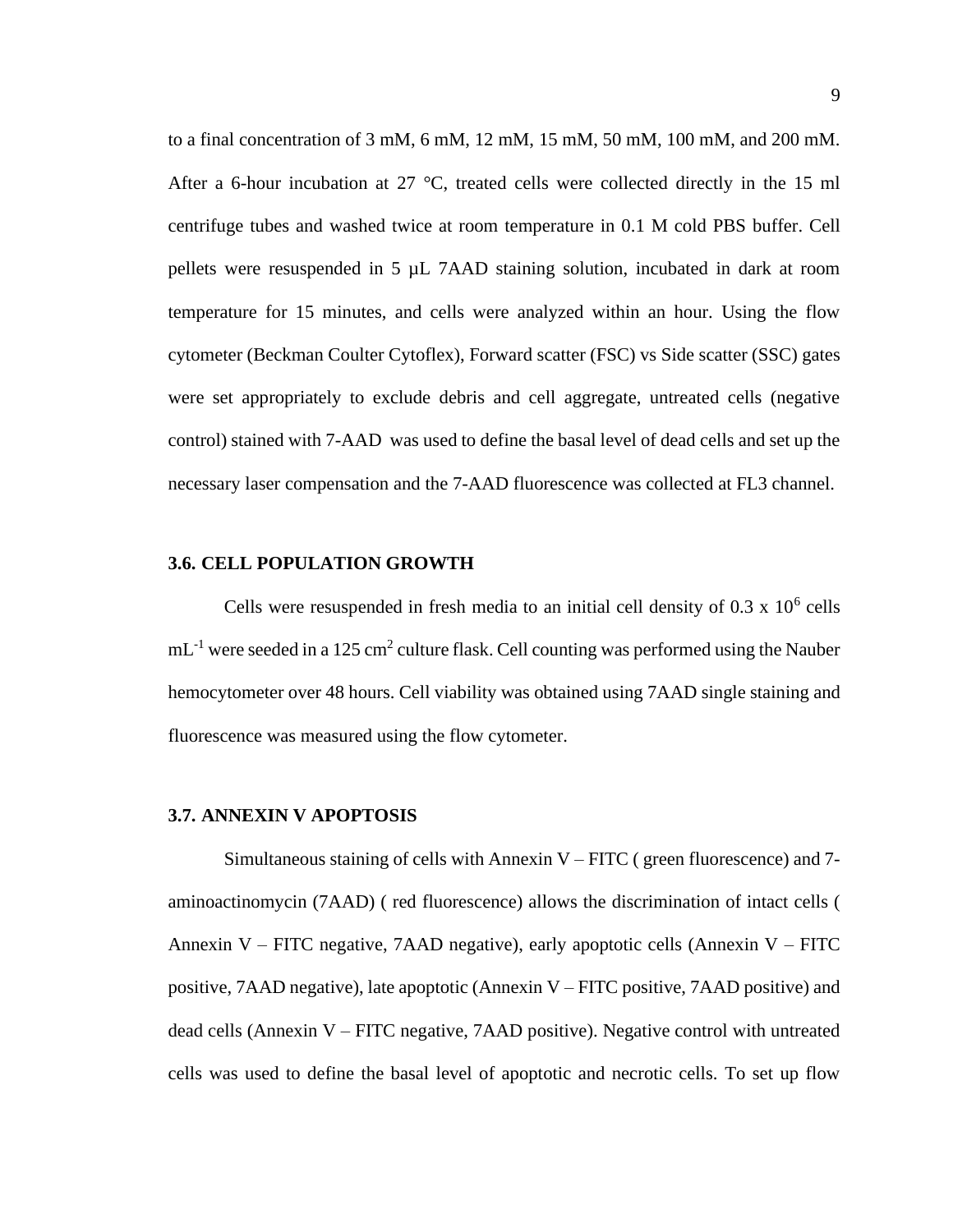to a final concentration of 3 mM, 6 mM, 12 mM, 15 mM, 50 mM, 100 mM, and 200 mM. After a 6-hour incubation at 27 °C, treated cells were collected directly in the 15 ml centrifuge tubes and washed twice at room temperature in 0.1 M cold PBS buffer. Cell pellets were resuspended in 5 µL 7AAD staining solution, incubated in dark at room temperature for 15 minutes, and cells were analyzed within an hour. Using the flow cytometer (Beckman Coulter Cytoflex), Forward scatter (FSC) vs Side scatter (SSC) gates were set appropriately to exclude debris and cell aggregate, untreated cells (negative control) stained with 7-AAD was used to define the basal level of dead cells and set up the necessary laser compensation and the 7-AAD fluorescence was collected at FL3 channel.

#### **3.6. CELL POPULATION GROWTH**

Cells were resuspended in fresh media to an initial cell density of  $0.3 \times 10^6$  cells  $mL^{-1}$  were seeded in a 125 cm<sup>2</sup> culture flask. Cell counting was performed using the Nauber hemocytometer over 48 hours. Cell viability was obtained using 7AAD single staining and fluorescence was measured using the flow cytometer.

#### **3.7. ANNEXIN V APOPTOSIS**

Simultaneous staining of cells with Annexin  $V - FITC$  (green fluorescence) and 7aminoactinomycin (7AAD) ( red fluorescence) allows the discrimination of intact cells ( Annexin  $V$  – FITC negative, 7AAD negative), early apoptotic cells (Annexin  $V$  – FITC positive, 7AAD negative), late apoptotic (Annexin V – FITC positive, 7AAD positive) and dead cells (Annexin V – FITC negative, 7AAD positive). Negative control with untreated cells was used to define the basal level of apoptotic and necrotic cells. To set up flow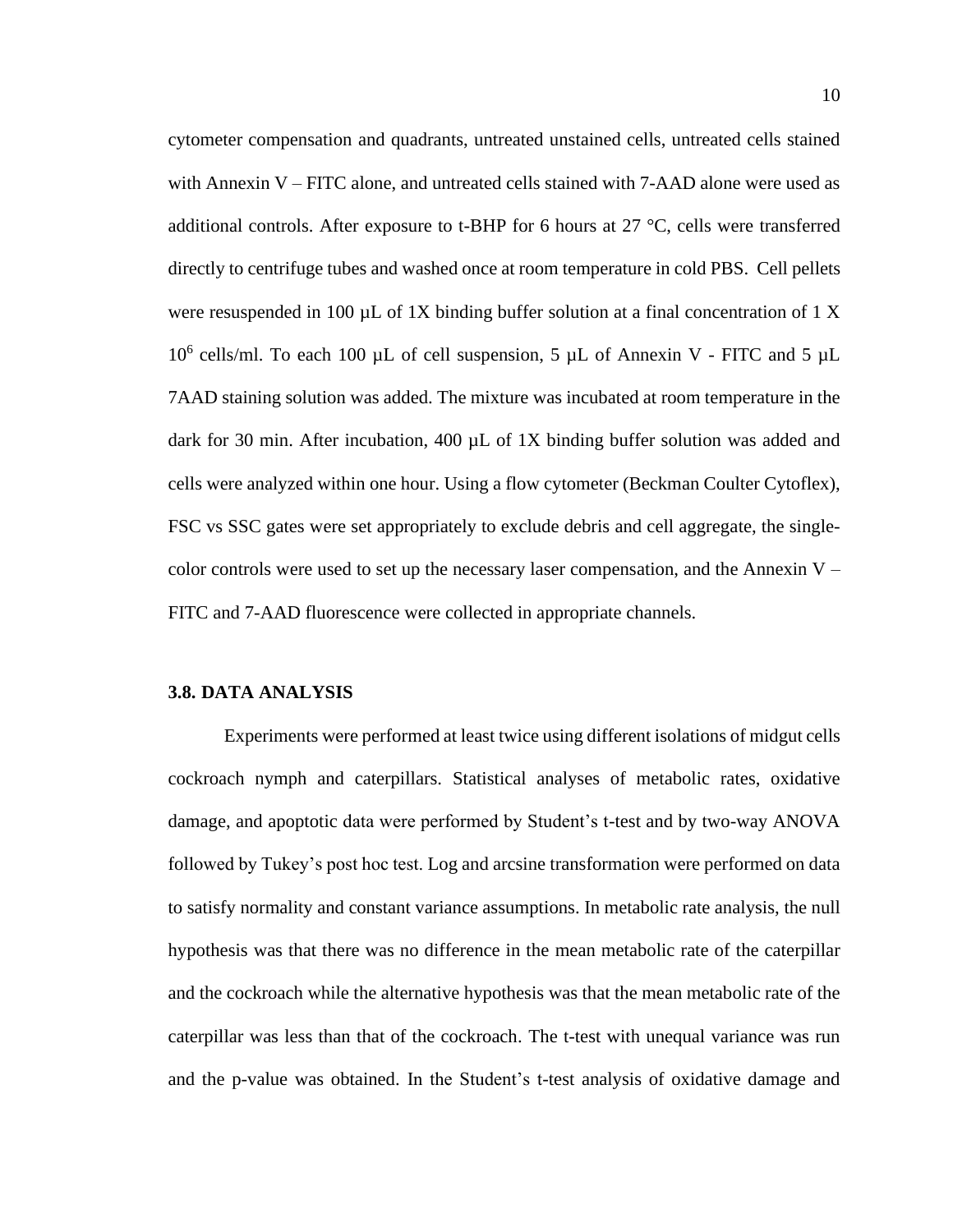cytometer compensation and quadrants, untreated unstained cells, untreated cells stained with Annexin  $V - FITC$  alone, and untreated cells stained with  $7 - AAD$  alone were used as additional controls. After exposure to t-BHP for 6 hours at 27 °C, cells were transferred directly to centrifuge tubes and washed once at room temperature in cold PBS. Cell pellets were resuspended in 100  $\mu$ L of 1X binding buffer solution at a final concentration of 1 X 10<sup>6</sup> cells/ml. To each 100  $\mu$ L of cell suspension, 5  $\mu$ L of Annexin V - FITC and 5  $\mu$ L 7AAD staining solution was added. The mixture was incubated at room temperature in the dark for 30 min. After incubation, 400 µL of 1X binding buffer solution was added and cells were analyzed within one hour. Using a flow cytometer (Beckman Coulter Cytoflex), FSC vs SSC gates were set appropriately to exclude debris and cell aggregate, the singlecolor controls were used to set up the necessary laser compensation, and the Annexin  $V -$ FITC and 7-AAD fluorescence were collected in appropriate channels.

#### **3.8. DATA ANALYSIS**

Experiments were performed at least twice using different isolations of midgut cells cockroach nymph and caterpillars. Statistical analyses of metabolic rates, oxidative damage, and apoptotic data were performed by Student's t-test and by two-way ANOVA followed by Tukey's post hoc test. Log and arcsine transformation were performed on data to satisfy normality and constant variance assumptions. In metabolic rate analysis, the null hypothesis was that there was no difference in the mean metabolic rate of the caterpillar and the cockroach while the alternative hypothesis was that the mean metabolic rate of the caterpillar was less than that of the cockroach. The t-test with unequal variance was run and the p-value was obtained. In the Student's t-test analysis of oxidative damage and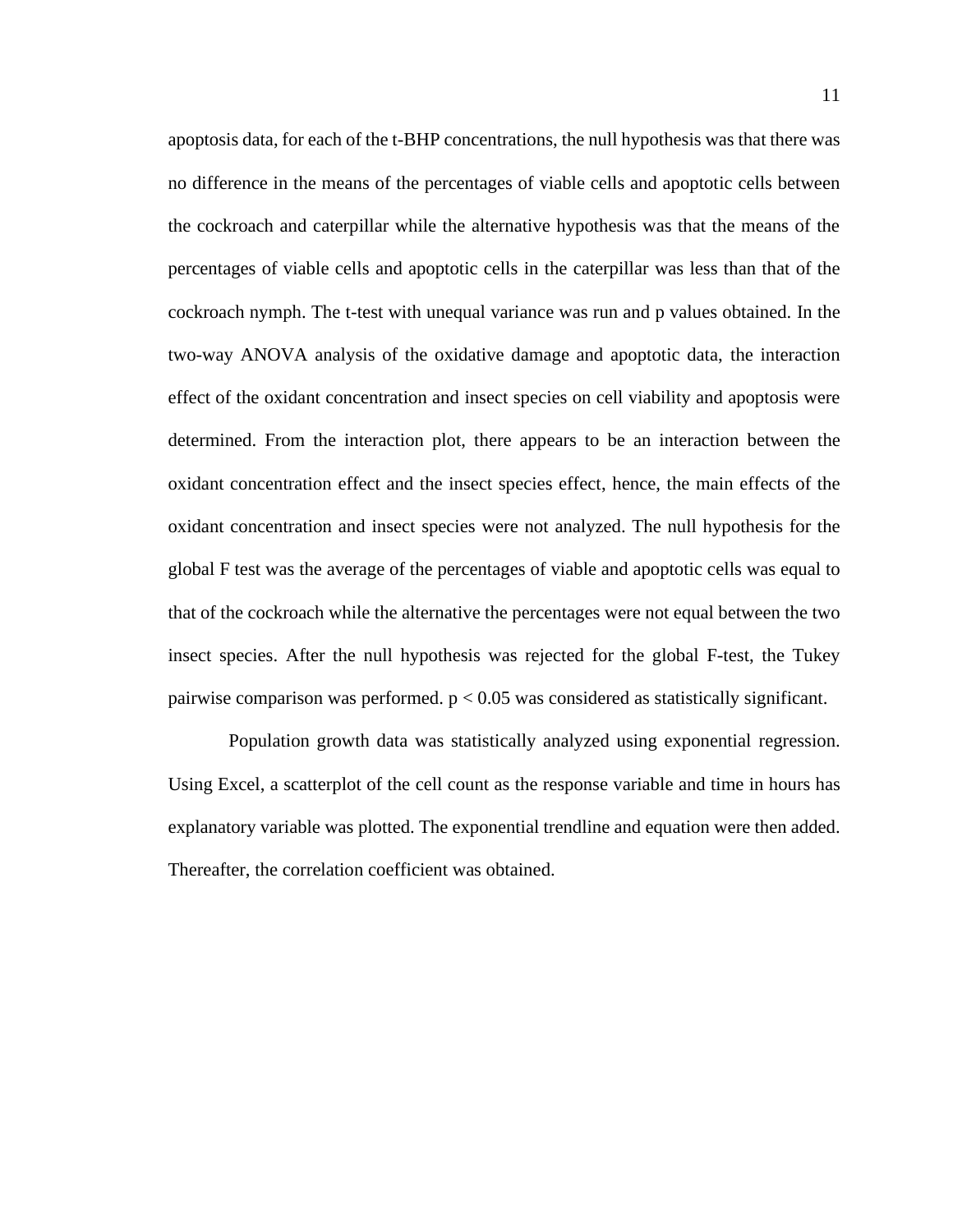apoptosis data, for each of the t-BHP concentrations, the null hypothesis was that there was no difference in the means of the percentages of viable cells and apoptotic cells between the cockroach and caterpillar while the alternative hypothesis was that the means of the percentages of viable cells and apoptotic cells in the caterpillar was less than that of the cockroach nymph. The t-test with unequal variance was run and p values obtained. In the two-way ANOVA analysis of the oxidative damage and apoptotic data, the interaction effect of the oxidant concentration and insect species on cell viability and apoptosis were determined. From the interaction plot, there appears to be an interaction between the oxidant concentration effect and the insect species effect, hence, the main effects of the oxidant concentration and insect species were not analyzed. The null hypothesis for the global F test was the average of the percentages of viable and apoptotic cells was equal to that of the cockroach while the alternative the percentages were not equal between the two insect species. After the null hypothesis was rejected for the global F-test, the Tukey pairwise comparison was performed.  $p < 0.05$  was considered as statistically significant.

Population growth data was statistically analyzed using exponential regression. Using Excel, a scatterplot of the cell count as the response variable and time in hours has explanatory variable was plotted. The exponential trendline and equation were then added. Thereafter, the correlation coefficient was obtained.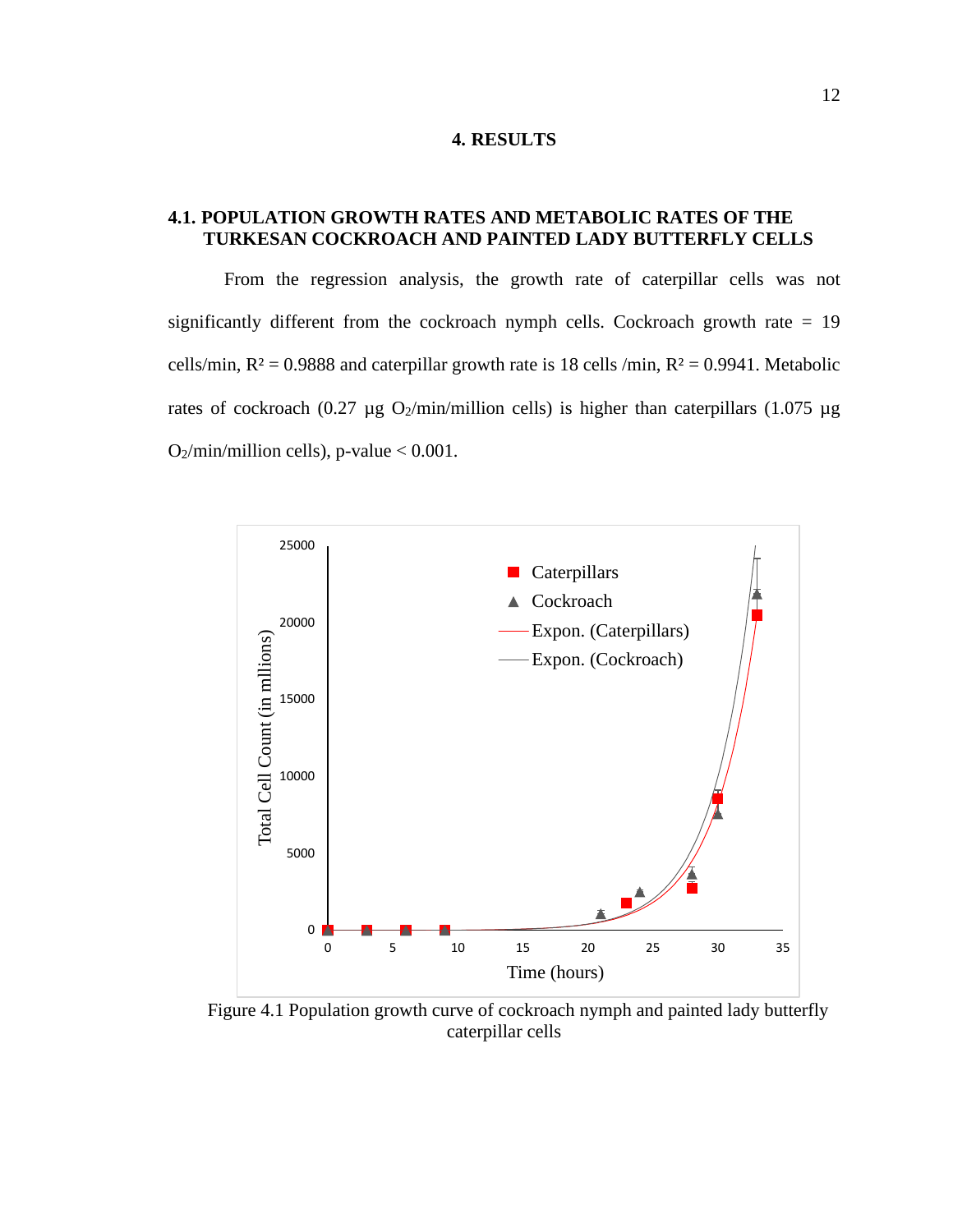#### **4. RESULTS**

#### **4.1. POPULATION GROWTH RATES AND METABOLIC RATES OF THE TURKESAN COCKROACH AND PAINTED LADY BUTTERFLY CELLS**

From the regression analysis, the growth rate of caterpillar cells was not significantly different from the cockroach nymph cells. Cockroach growth rate  $= 19$ cells/min,  $R^2 = 0.9888$  and caterpillar growth rate is 18 cells /min,  $R^2 = 0.9941$ . Metabolic rates of cockroach (0.27  $\mu$ g O<sub>2</sub>/min/million cells) is higher than caterpillars (1.075  $\mu$ g  $O_2$ /min/million cells), p-value < 0.001.



Figure 4.1 Population growth curve of cockroach nymph and painted lady butterfly caterpillar cells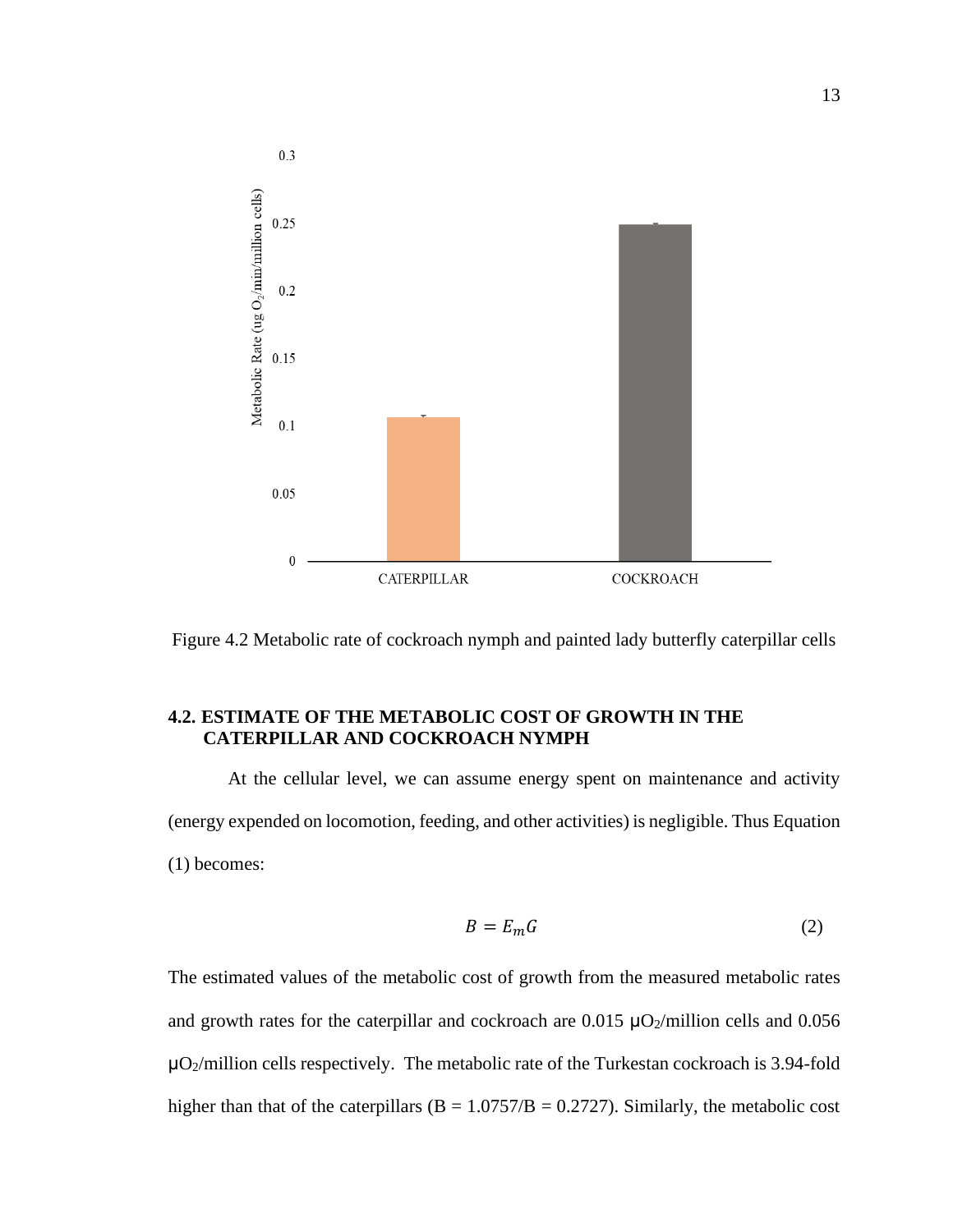

Figure 4.2 Metabolic rate of cockroach nymph and painted lady butterfly caterpillar cells

#### **4.2. ESTIMATE OF THE METABOLIC COST OF GROWTH IN THE CATERPILLAR AND COCKROACH NYMPH**

At the cellular level, we can assume energy spent on maintenance and activity (energy expended on locomotion, feeding, and other activities) is negligible. Thus Equation (1) becomes:

$$
B = E_m G \tag{2}
$$

The estimated values of the metabolic cost of growth from the measured metabolic rates and growth rates for the caterpillar and cockroach are  $0.015 \mu O<sub>2</sub>/\text{million}$  cells and  $0.056$  $\mu$ O<sub>2</sub>/million cells respectively. The metabolic rate of the Turkestan cockroach is 3.94-fold higher than that of the caterpillars ( $B = 1.0757/B = 0.2727$ ). Similarly, the metabolic cost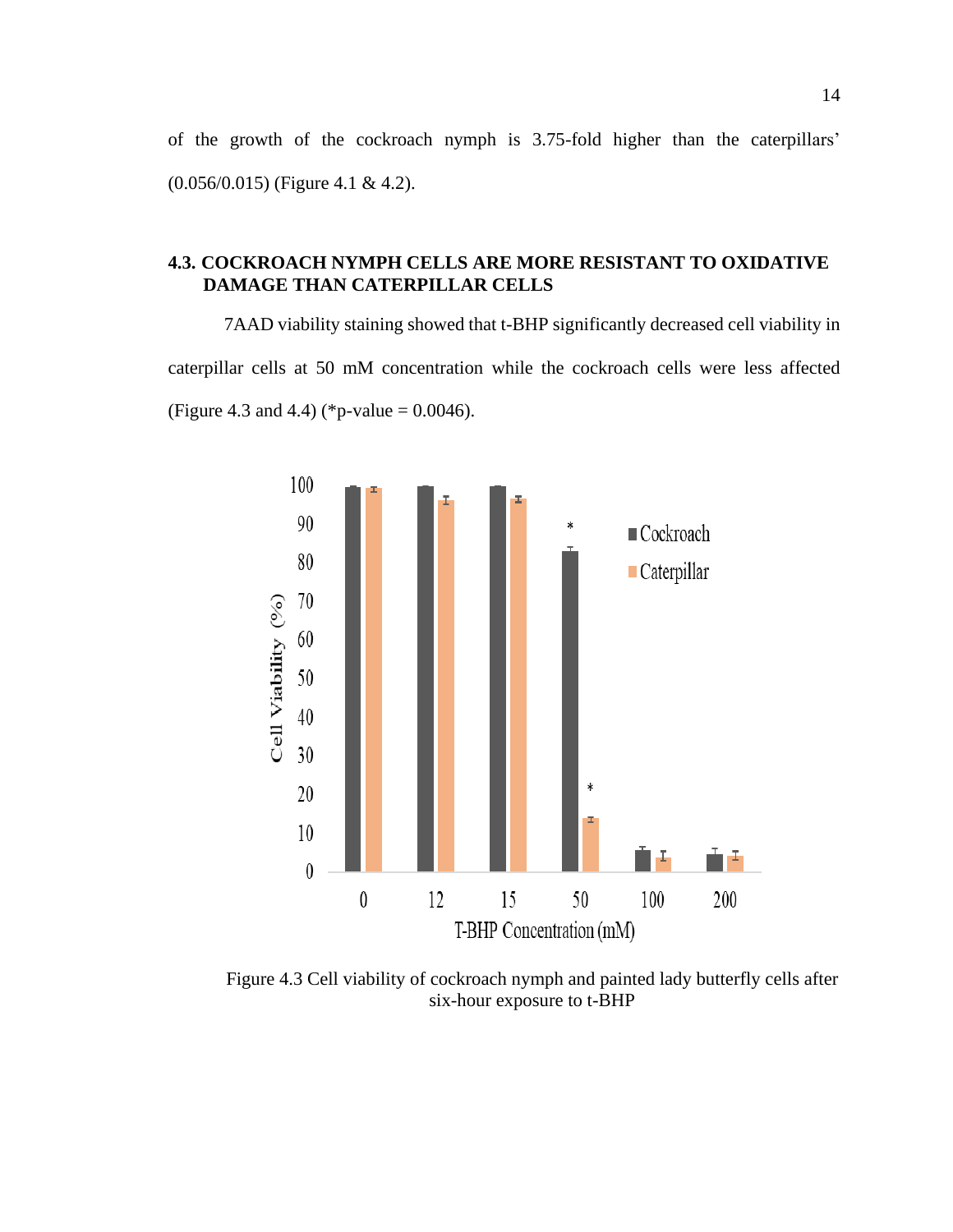of the growth of the cockroach nymph is 3.75-fold higher than the caterpillars' (0.056/0.015) (Figure 4.1 & 4.2).

#### **4.3. COCKROACH NYMPH CELLS ARE MORE RESISTANT TO OXIDATIVE DAMAGE THAN CATERPILLAR CELLS**

7AAD viability staining showed that t-BHP significantly decreased cell viability in caterpillar cells at 50 mM concentration while the cockroach cells were less affected (Figure 4.3 and 4.4) (\*p-value =  $0.0046$ ).



Figure 4.3 Cell viability of cockroach nymph and painted lady butterfly cells after six-hour exposure to t-BHP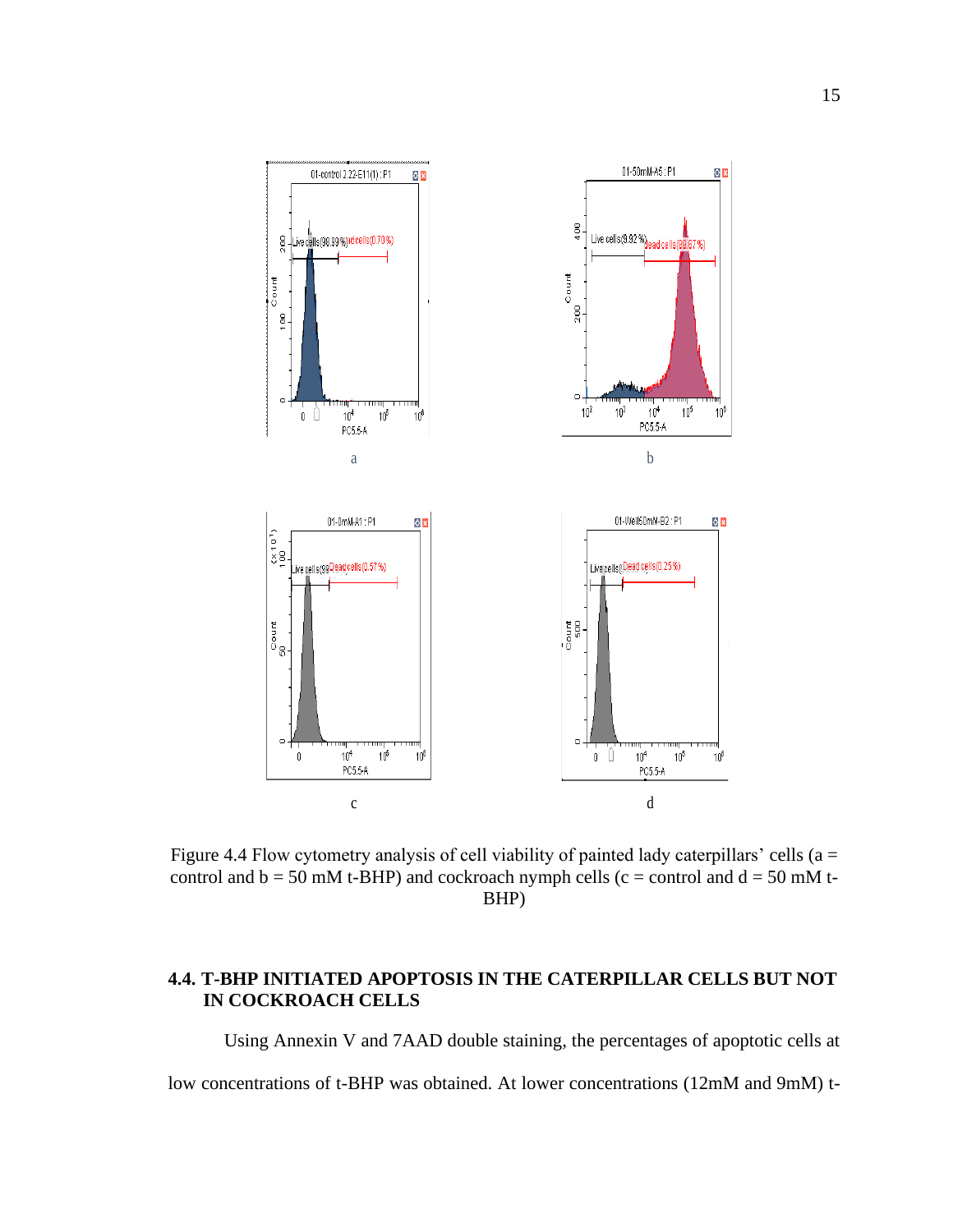

Figure 4.4 Flow cytometry analysis of cell viability of painted lady caterpillars' cells ( $a =$ control and  $b = 50$  mM t-BHP) and cockroach nymph cells (c = control and  $d = 50$  mM t-BHP)

### **4.4. T-BHP INITIATED APOPTOSIS IN THE CATERPILLAR CELLS BUT NOT IN COCKROACH CELLS**

Using Annexin V and 7AAD double staining, the percentages of apoptotic cells at

low concentrations of t-BHP was obtained. At lower concentrations (12mM and 9mM) t-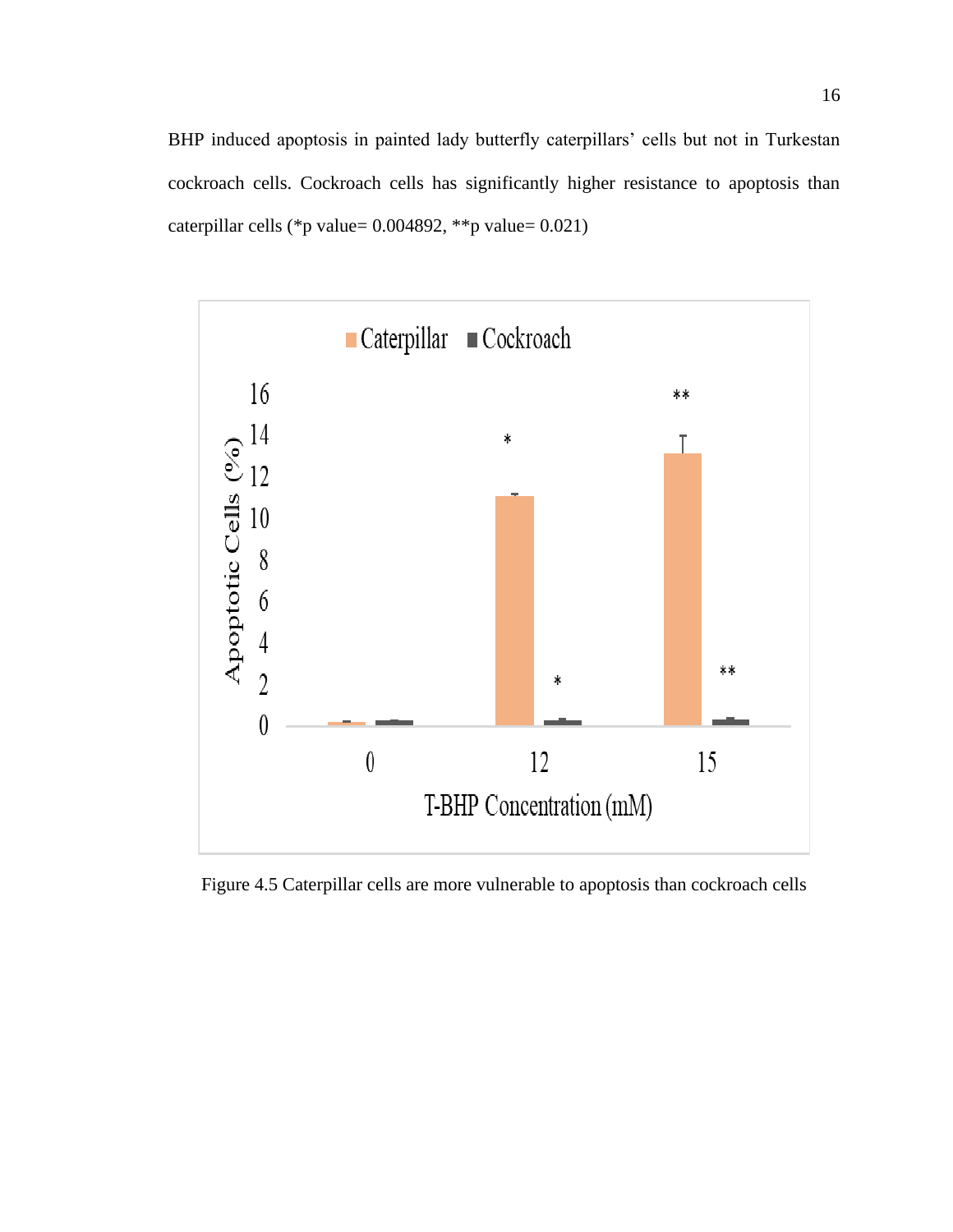BHP induced apoptosis in painted lady butterfly caterpillars' cells but not in Turkestan cockroach cells. Cockroach cells has significantly higher resistance to apoptosis than caterpillar cells (\*p value= 0.004892, \*\*p value= 0.021)



Figure 4.5 Caterpillar cells are more vulnerable to apoptosis than cockroach cells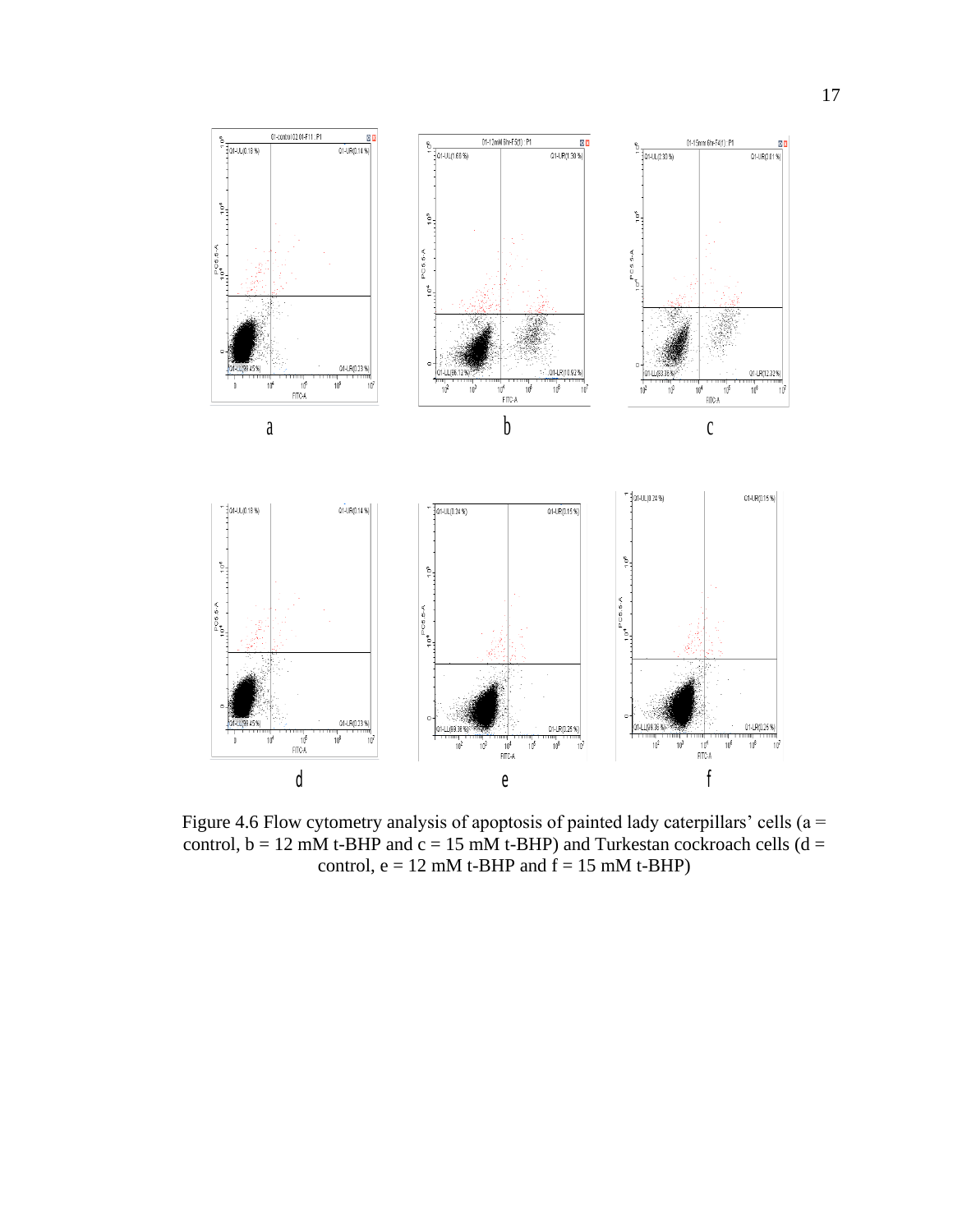

Figure 4.6 Flow cytometry analysis of apoptosis of painted lady caterpillars' cells ( $a =$ control,  $b = 12$  mM t-BHP and  $c = 15$  mM t-BHP) and Turkestan cockroach cells (d = control,  $e = 12$  mM t-BHP and  $f = 15$  mM t-BHP)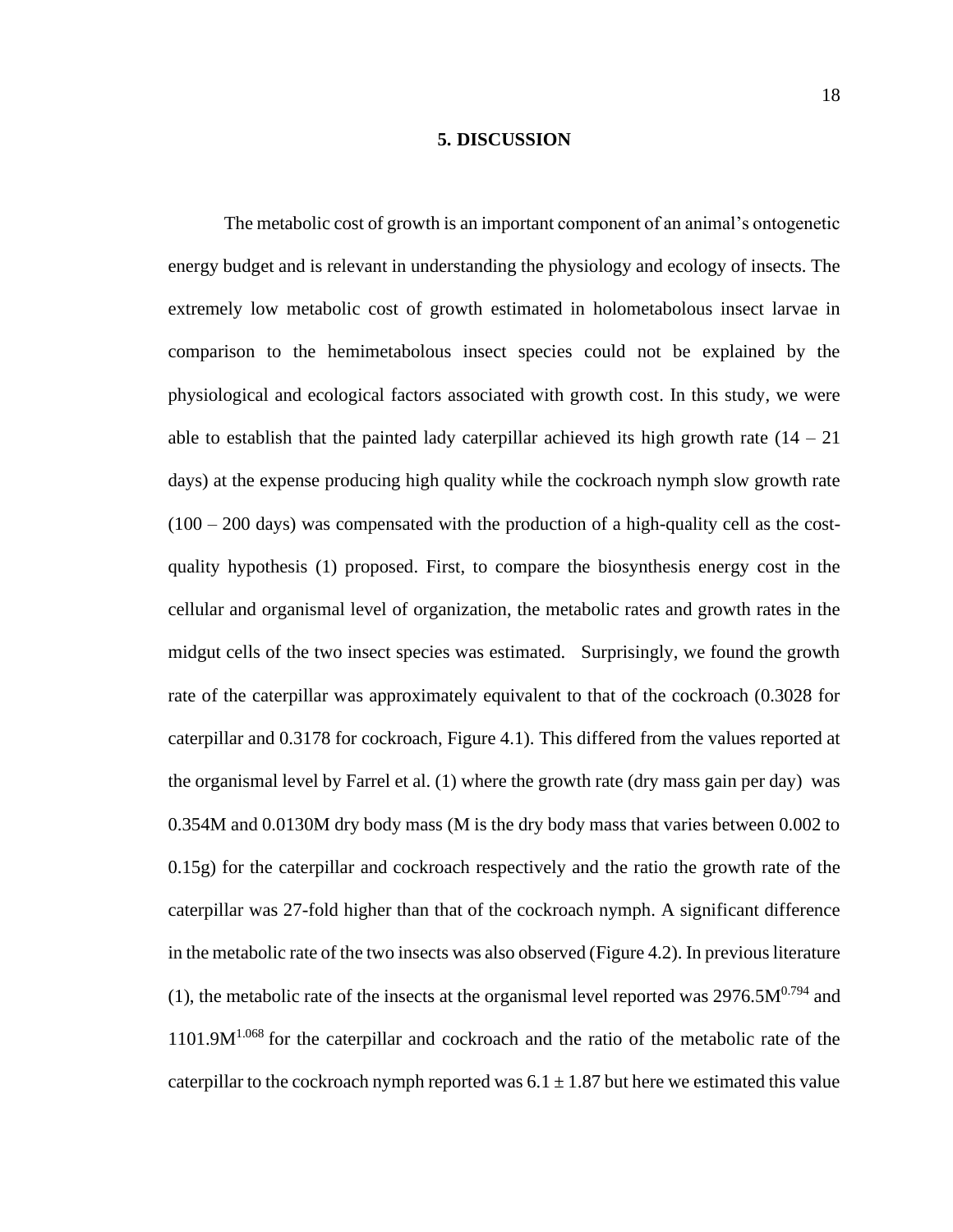#### **5. DISCUSSION**

The metabolic cost of growth is an important component of an animal's ontogenetic energy budget and is relevant in understanding the physiology and ecology of insects. The extremely low metabolic cost of growth estimated in holometabolous insect larvae in comparison to the hemimetabolous insect species could not be explained by the physiological and ecological factors associated with growth cost. In this study, we were able to establish that the painted lady caterpillar achieved its high growth rate  $(14 - 21)$ days) at the expense producing high quality while the cockroach nymph slow growth rate  $(100 - 200)$  days) was compensated with the production of a high-quality cell as the costquality hypothesis (1) proposed. First, to compare the biosynthesis energy cost in the cellular and organismal level of organization, the metabolic rates and growth rates in the midgut cells of the two insect species was estimated. Surprisingly, we found the growth rate of the caterpillar was approximately equivalent to that of the cockroach (0.3028 for caterpillar and 0.3178 for cockroach, Figure 4.1). This differed from the values reported at the organismal level by Farrel et al. (1) where the growth rate (dry mass gain per day) was 0.354M and 0.0130M dry body mass (M is the dry body mass that varies between 0.002 to 0.15g) for the caterpillar and cockroach respectively and the ratio the growth rate of the caterpillar was 27-fold higher than that of the cockroach nymph. A significant difference in the metabolic rate of the two insects was also observed (Figure 4.2). In previous literature (1), the metabolic rate of the insects at the organismal level reported was  $2976.5M^{0.794}$  and  $1101.9M<sup>1.068</sup>$  for the caterpillar and cockroach and the ratio of the metabolic rate of the caterpillar to the cockroach nymph reported was  $6.1 \pm 1.87$  but here we estimated this value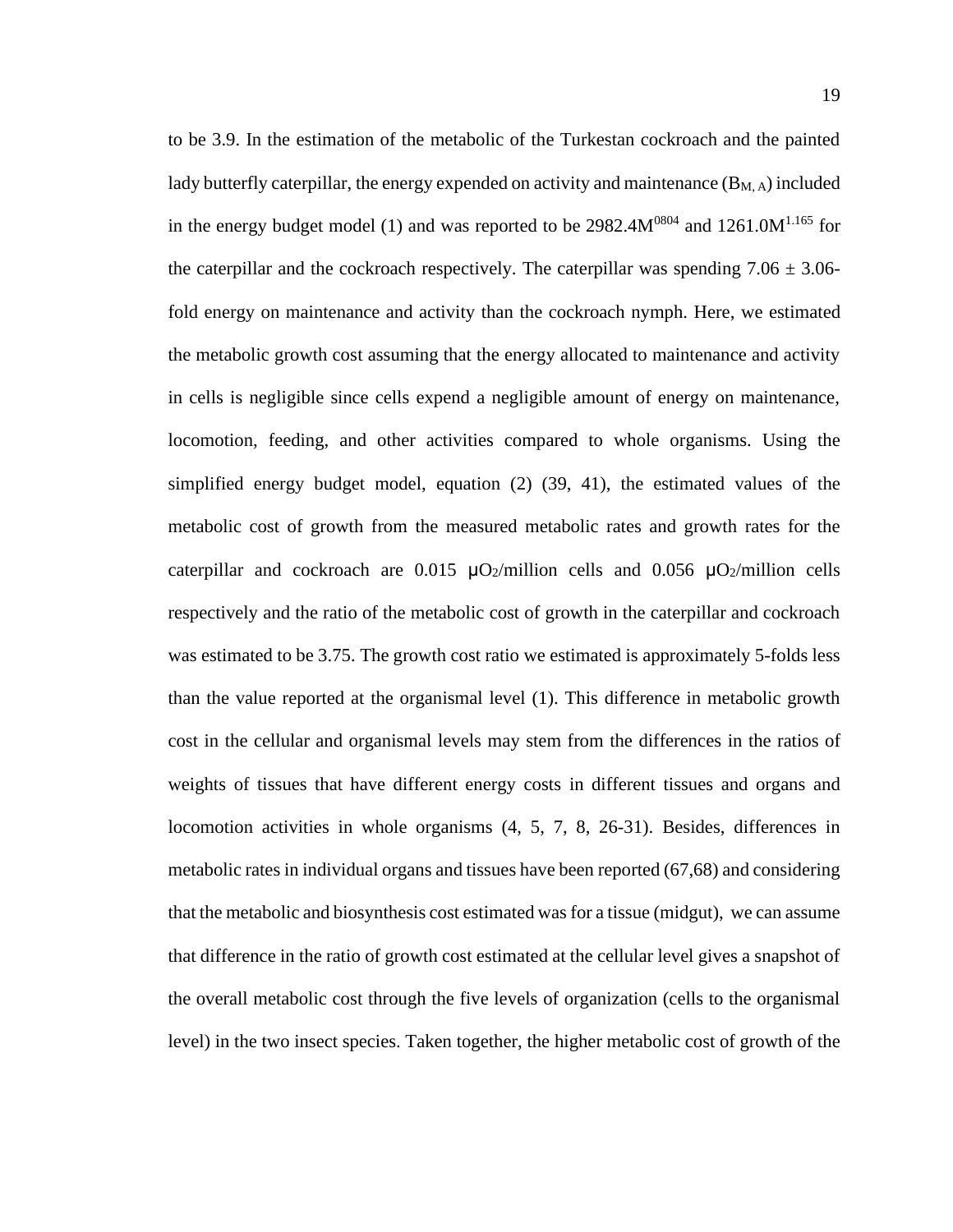to be 3.9. In the estimation of the metabolic of the Turkestan cockroach and the painted lady butterfly caterpillar, the energy expended on activity and maintenance  $(B_{M,A})$  included in the energy budget model (1) and was reported to be  $2982.4M^{0804}$  and  $1261.0M^{1.165}$  for the caterpillar and the cockroach respectively. The caterpillar was spending  $7.06 \pm 3.06$ fold energy on maintenance and activity than the cockroach nymph. Here, we estimated the metabolic growth cost assuming that the energy allocated to maintenance and activity in cells is negligible since cells expend a negligible amount of energy on maintenance, locomotion, feeding, and other activities compared to whole organisms. Using the simplified energy budget model, equation (2) (39, 41), the estimated values of the metabolic cost of growth from the measured metabolic rates and growth rates for the caterpillar and cockroach are 0.015  $\mu$ O<sub>2</sub>/million cells and 0.056  $\mu$ O<sub>2</sub>/million cells respectively and the ratio of the metabolic cost of growth in the caterpillar and cockroach was estimated to be 3.75. The growth cost ratio we estimated is approximately 5-folds less than the value reported at the organismal level (1). This difference in metabolic growth cost in the cellular and organismal levels may stem from the differences in the ratios of weights of tissues that have different energy costs in different tissues and organs and locomotion activities in whole organisms [\(4,](#page-35-4) [5,](#page-35-5) [7,](#page-35-6) [8,](#page-35-1) [26-31\)](#page-37-0). Besides, differences in metabolic rates in individual organs and tissues have been reported (67,68) and considering that the metabolic and biosynthesis cost estimated was for a tissue (midgut), we can assume that difference in the ratio of growth cost estimated at the cellular level gives a snapshot of the overall metabolic cost through the five levels of organization (cells to the organismal level) in the two insect species. Taken together, the higher metabolic cost of growth of the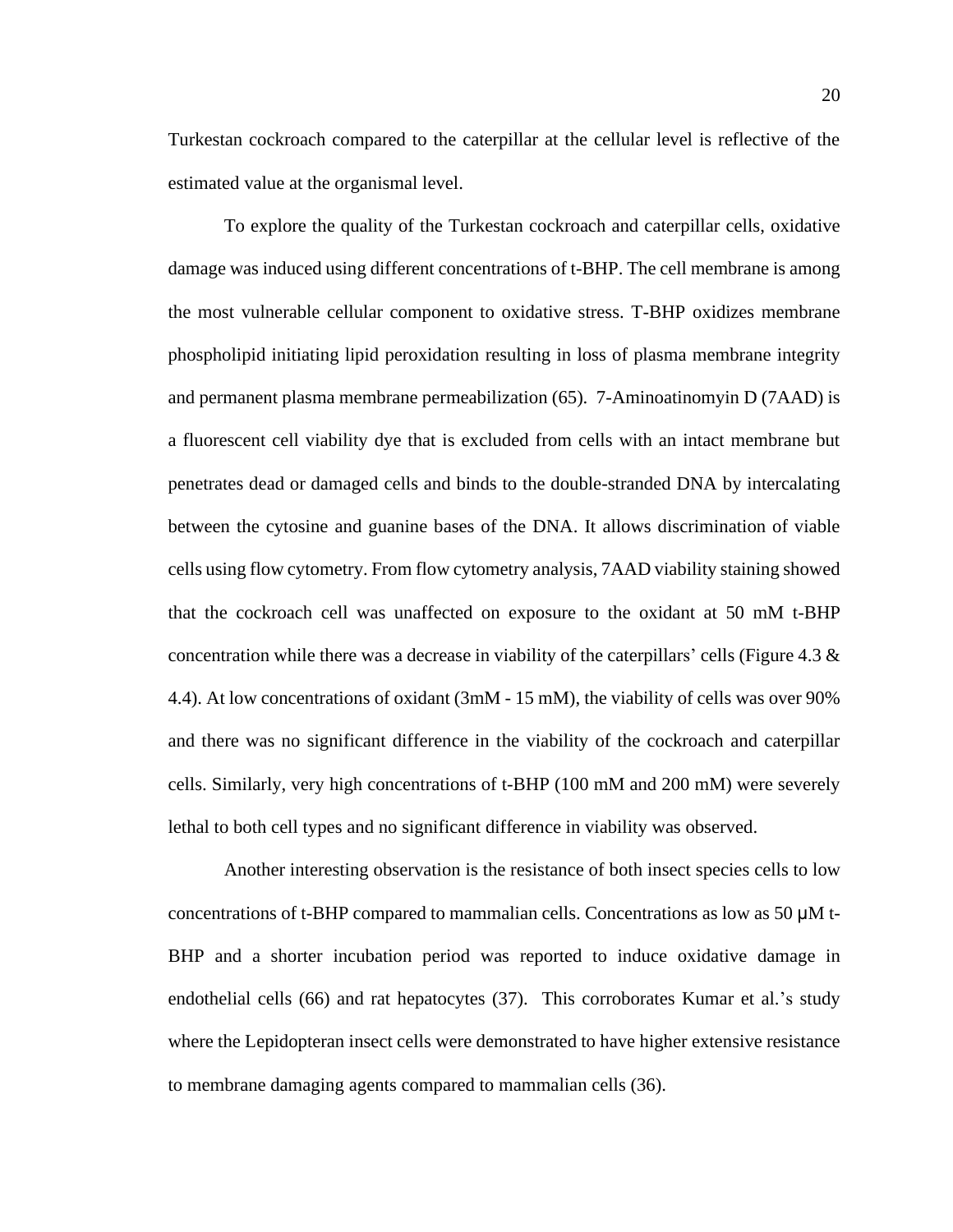Turkestan cockroach compared to the caterpillar at the cellular level is reflective of the estimated value at the organismal level.

To explore the quality of the Turkestan cockroach and caterpillar cells, oxidative damage was induced using different concentrations of t-BHP. The cell membrane is among the most vulnerable cellular component to oxidative stress. T-BHP oxidizes membrane phospholipid initiating lipid peroxidation resulting in loss of plasma membrane integrity and permanent plasma membrane permeabilization (65). 7-Aminoatinomyin D (7AAD) is a fluorescent cell viability dye that is excluded from cells with an intact membrane but penetrates dead or damaged cells and binds to the double-stranded DNA by intercalating between the cytosine and guanine bases of the DNA. It allows discrimination of viable cells using flow cytometry. From flow cytometry analysis, 7AAD viability staining showed that the cockroach cell was unaffected on exposure to the oxidant at 50 mM t-BHP concentration while there was a decrease in viability of the caterpillars' cells (Figure 4.3  $\&$ 4.4). At low concentrations of oxidant (3mM - 15 mM), the viability of cells was over 90% and there was no significant difference in the viability of the cockroach and caterpillar cells. Similarly, very high concentrations of t-BHP (100 mM and 200 mM) were severely lethal to both cell types and no significant difference in viability was observed.

Another interesting observation is the resistance of both insect species cells to low concentrations of t-BHP compared to mammalian cells. Concentrations as low as 50 μM t-BHP and a shorter incubation period was reported to induce oxidative damage in endothelial cells (66) and rat hepatocytes (37). This corroborates Kumar et al.'s study where the Lepidopteran insect cells were demonstrated to have higher extensive resistance to membrane damaging agents compared to mammalian cells (36).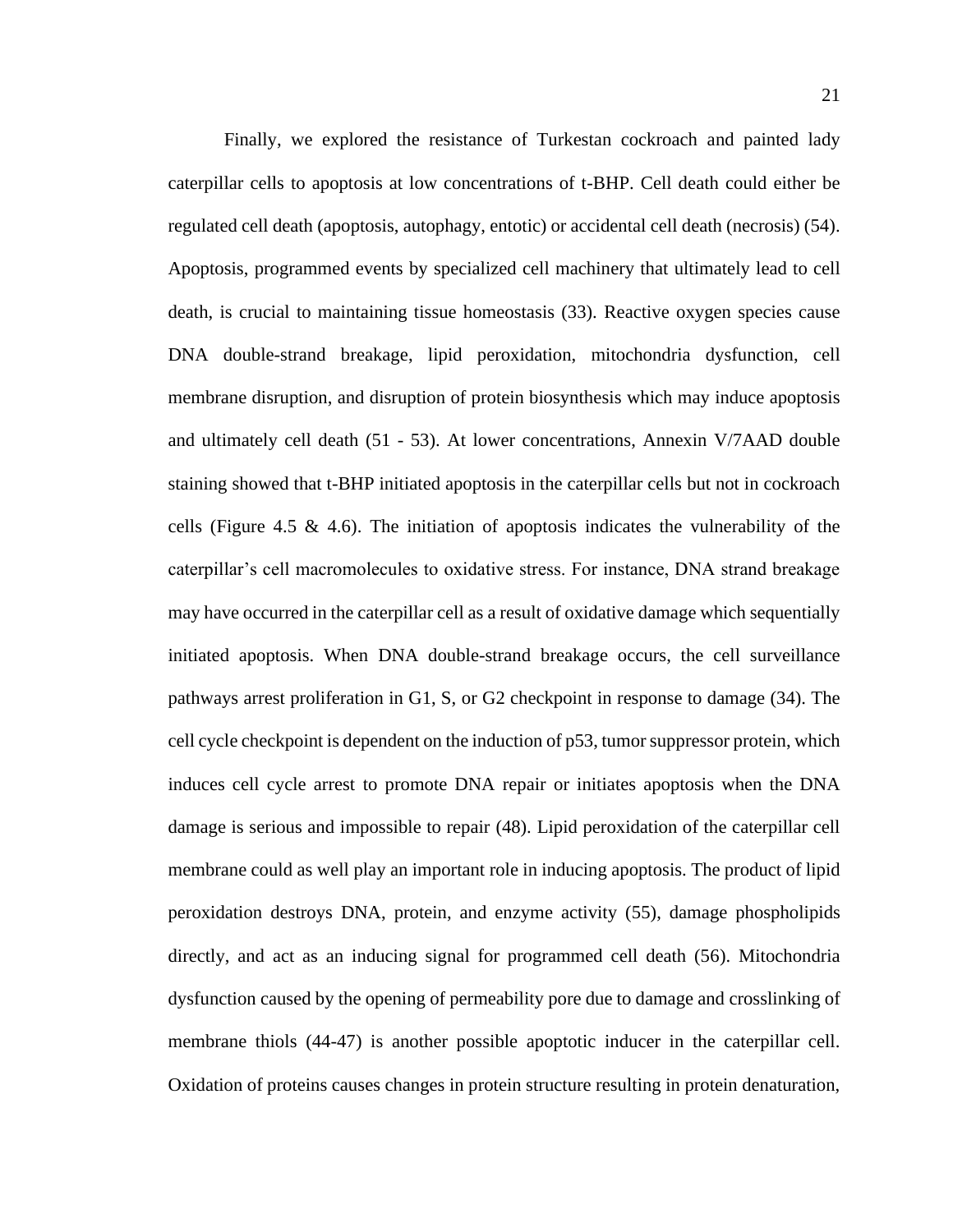Finally, we explored the resistance of Turkestan cockroach and painted lady caterpillar cells to apoptosis at low concentrations of t-BHP. Cell death could either be regulated cell death (apoptosis, autophagy, entotic) or accidental cell death (necrosis) (54). Apoptosis, programmed events by specialized cell machinery that ultimately lead to cell death, is crucial to maintaining tissue homeostasis (33). Reactive oxygen species cause DNA double-strand breakage, lipid peroxidation, mitochondria dysfunction, cell membrane disruption, and disruption of protein biosynthesis which may induce apoptosis and ultimately cell death (51 - 53). At lower concentrations, Annexin V/7AAD double staining showed that t-BHP initiated apoptosis in the caterpillar cells but not in cockroach cells (Figure 4.5 & 4.6). The initiation of apoptosis indicates the vulnerability of the caterpillar's cell macromolecules to oxidative stress. For instance, DNA strand breakage may have occurred in the caterpillar cell as a result of oxidative damage which sequentially initiated apoptosis. When DNA double-strand breakage occurs, the cell surveillance pathways arrest proliferation in G1, S, or G2 checkpoint in response to damage (34). The cell cycle checkpoint is dependent on the induction of p53, tumor suppressor protein, which induces cell cycle arrest to promote DNA repair or initiates apoptosis when the DNA damage is serious and impossible to repair (48). Lipid peroxidation of the caterpillar cell membrane could as well play an important role in inducing apoptosis. The product of lipid peroxidation destroys DNA, protein, and enzyme activity (55), damage phospholipids directly, and act as an inducing signal for programmed cell death (56). Mitochondria dysfunction caused by the opening of permeability pore due to damage and crosslinking of membrane thiols (44-47) is another possible apoptotic inducer in the caterpillar cell. Oxidation of proteins causes changes in protein structure resulting in protein denaturation,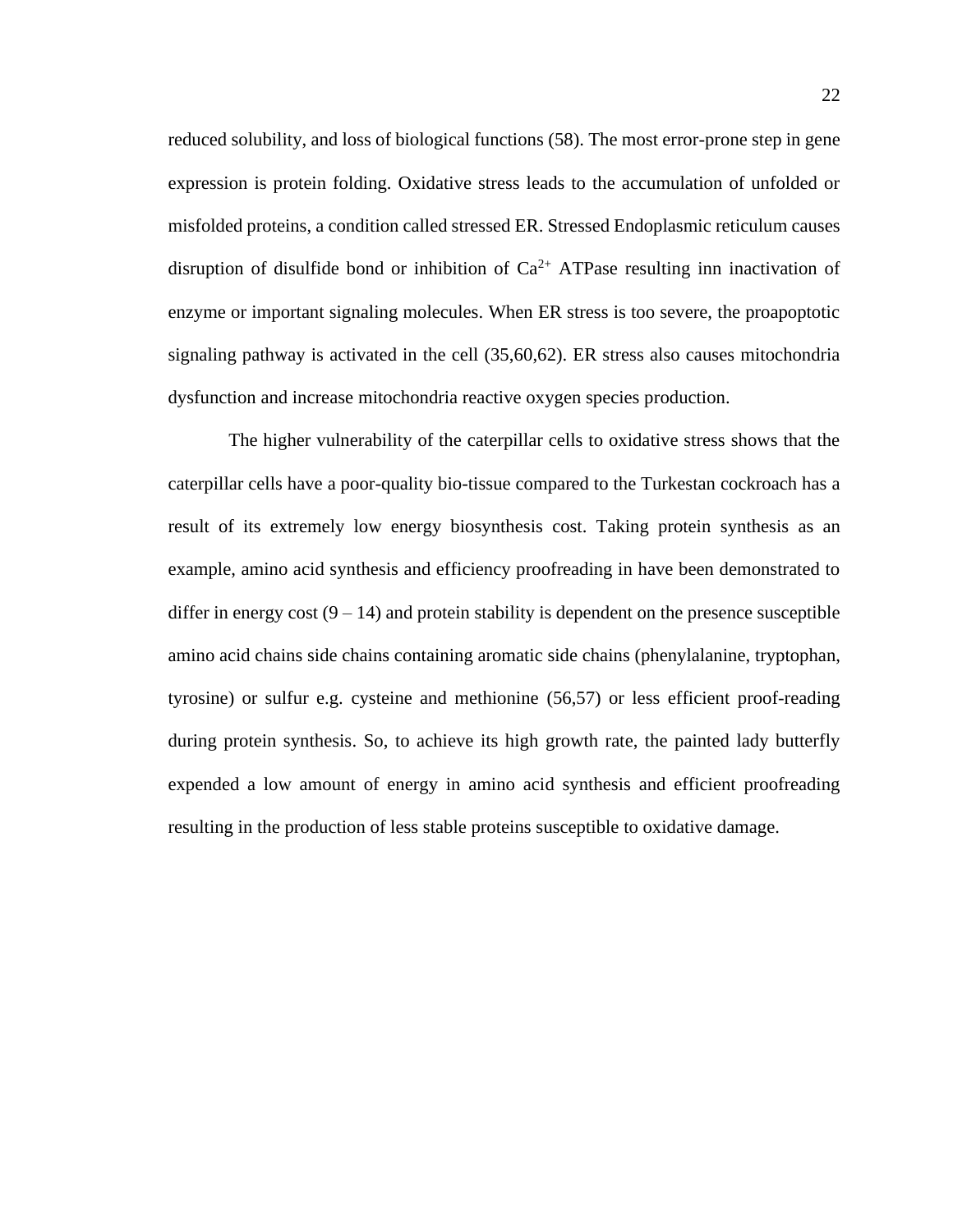reduced solubility, and loss of biological functions (58). The most error-prone step in gene expression is protein folding. Oxidative stress leads to the accumulation of unfolded or misfolded proteins, a condition called stressed ER. Stressed Endoplasmic reticulum causes disruption of disulfide bond or inhibition of  $Ca^{2+}$  ATPase resulting inn inactivation of enzyme or important signaling molecules. When ER stress is too severe, the proapoptotic signaling pathway is activated in the cell (35,60,62). ER stress also causes mitochondria dysfunction and increase mitochondria reactive oxygen species production.

The higher vulnerability of the caterpillar cells to oxidative stress shows that the caterpillar cells have a poor-quality bio-tissue compared to the Turkestan cockroach has a result of its extremely low energy biosynthesis cost. Taking protein synthesis as an example, amino acid synthesis and efficiency proofreading in have been demonstrated to differ in energy cost  $(9 - 14)$  and protein stability is dependent on the presence susceptible amino acid chains side chains containing aromatic side chains (phenylalanine, tryptophan, tyrosine) or sulfur e.g. cysteine and methionine (56,57) or less efficient proof-reading during protein synthesis. So, to achieve its high growth rate, the painted lady butterfly expended a low amount of energy in amino acid synthesis and efficient proofreading resulting in the production of less stable proteins susceptible to oxidative damage.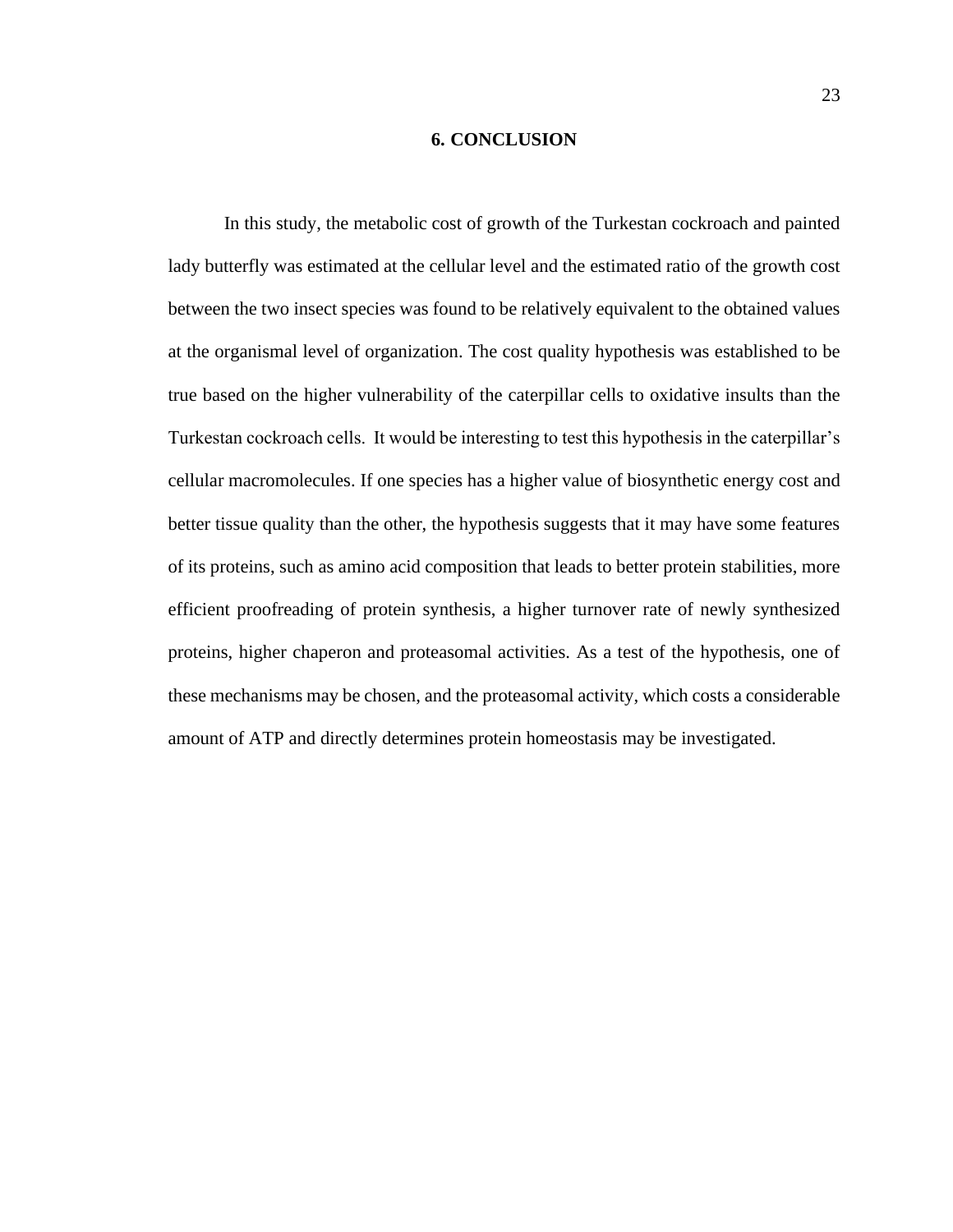#### **6. CONCLUSION**

In this study, the metabolic cost of growth of the Turkestan cockroach and painted lady butterfly was estimated at the cellular level and the estimated ratio of the growth cost between the two insect species was found to be relatively equivalent to the obtained values at the organismal level of organization. The cost quality hypothesis was established to be true based on the higher vulnerability of the caterpillar cells to oxidative insults than the Turkestan cockroach cells. It would be interesting to test this hypothesis in the caterpillar's cellular macromolecules. If one species has a higher value of biosynthetic energy cost and better tissue quality than the other, the hypothesis suggests that it may have some features of its proteins, such as amino acid composition that leads to better protein stabilities, more efficient proofreading of protein synthesis, a higher turnover rate of newly synthesized proteins, higher chaperon and proteasomal activities. As a test of the hypothesis, one of these mechanisms may be chosen, and the proteasomal activity, which costs a considerable amount of ATP and directly determines protein homeostasis may be investigated.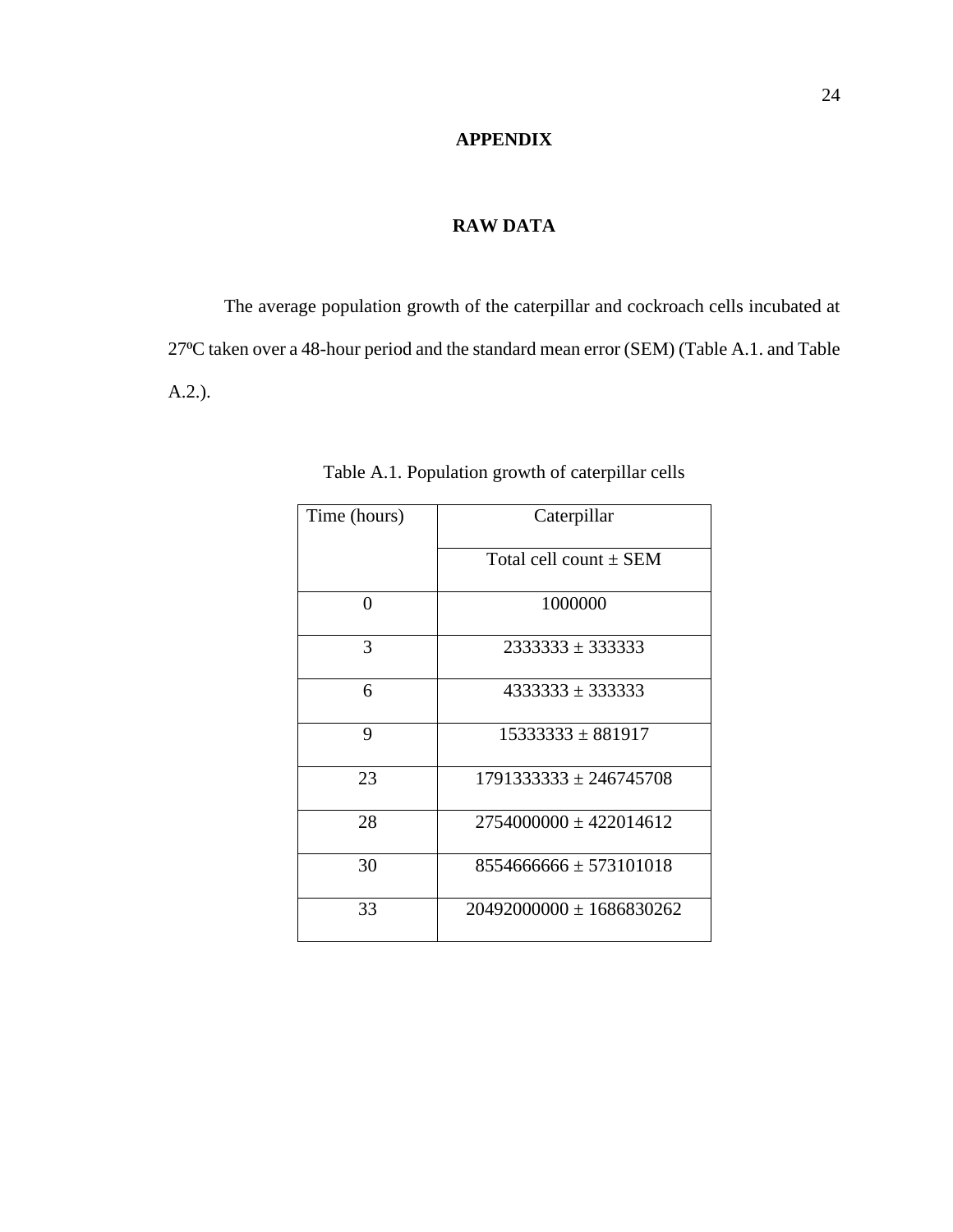### **APPENDIX**

### **RAW DATA**

The average population growth of the caterpillar and cockroach cells incubated at 27⁰C taken over a 48-hour period and the standard mean error (SEM) (Table A.1. and Table A.2.).

| Time (hours) | Caterpillar                  |  |  |
|--------------|------------------------------|--|--|
|              | Total cell count $\pm$ SEM   |  |  |
| 0            | 1000000                      |  |  |
| 3            | $2333333 \pm 333333$         |  |  |
| 6            | $4333333 \pm 333333$         |  |  |
| 9            | $15333333 \pm 881917$        |  |  |
| 23           | $1791333333 \pm 246745708$   |  |  |
| 28           | $2754000000 \pm 422014612$   |  |  |
| 30           | $8554666666 \pm 573101018$   |  |  |
| 33           | $20492000000 \pm 1686830262$ |  |  |

Table A.1. Population growth of caterpillar cells

 $\mathbf{r}$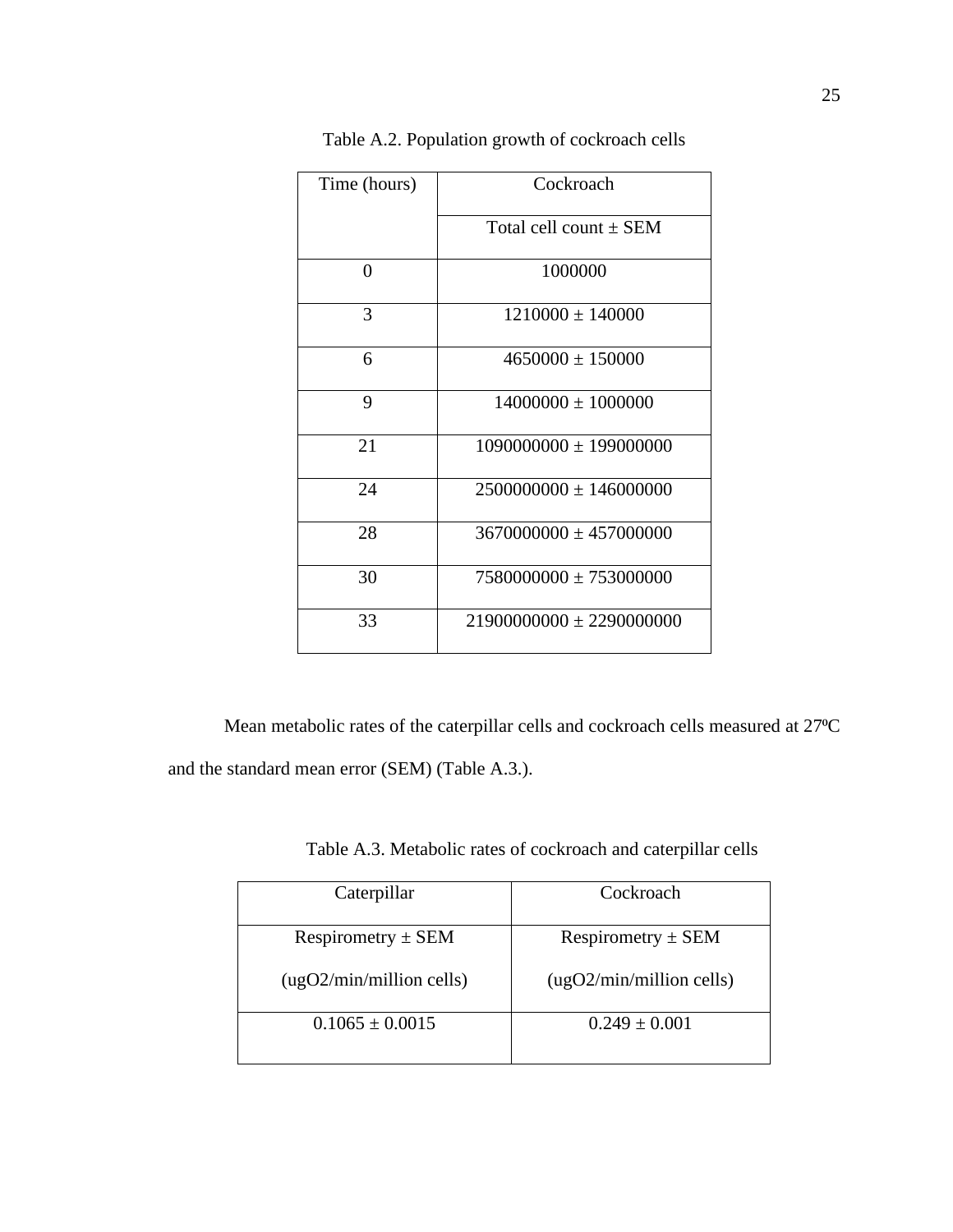| Time (hours) | Cockroach                    |  |
|--------------|------------------------------|--|
|              | Total cell count $\pm$ SEM   |  |
| 0            | 1000000                      |  |
| 3            | $1210000 \pm 140000$         |  |
| 6            | $4650000 \pm 150000$         |  |
| 9            | $14000000 \pm 1000000$       |  |
| 21           | $1090000000 \pm 199000000$   |  |
| 24           | $2500000000 \pm 146000000$   |  |
| 28           | $3670000000 \pm 457000000$   |  |
| 30           | $7580000000 \pm 753000000$   |  |
| 33           | $21900000000 \pm 2290000000$ |  |

Table A.2. Population growth of cockroach cells

Mean metabolic rates of the caterpillar cells and cockroach cells measured at 27°C and the standard mean error (SEM) (Table A.3.).

| Caterpillar              | Cockroach                |
|--------------------------|--------------------------|
| Respirometry $\pm$ SEM   | Respirometry $\pm$ SEM   |
| (ugO2/min/million cells) | (ugO2/min/million cells) |
| $0.1065 \pm 0.0015$      | $0.249 \pm 0.001$        |

Table A.3. Metabolic rates of cockroach and caterpillar cells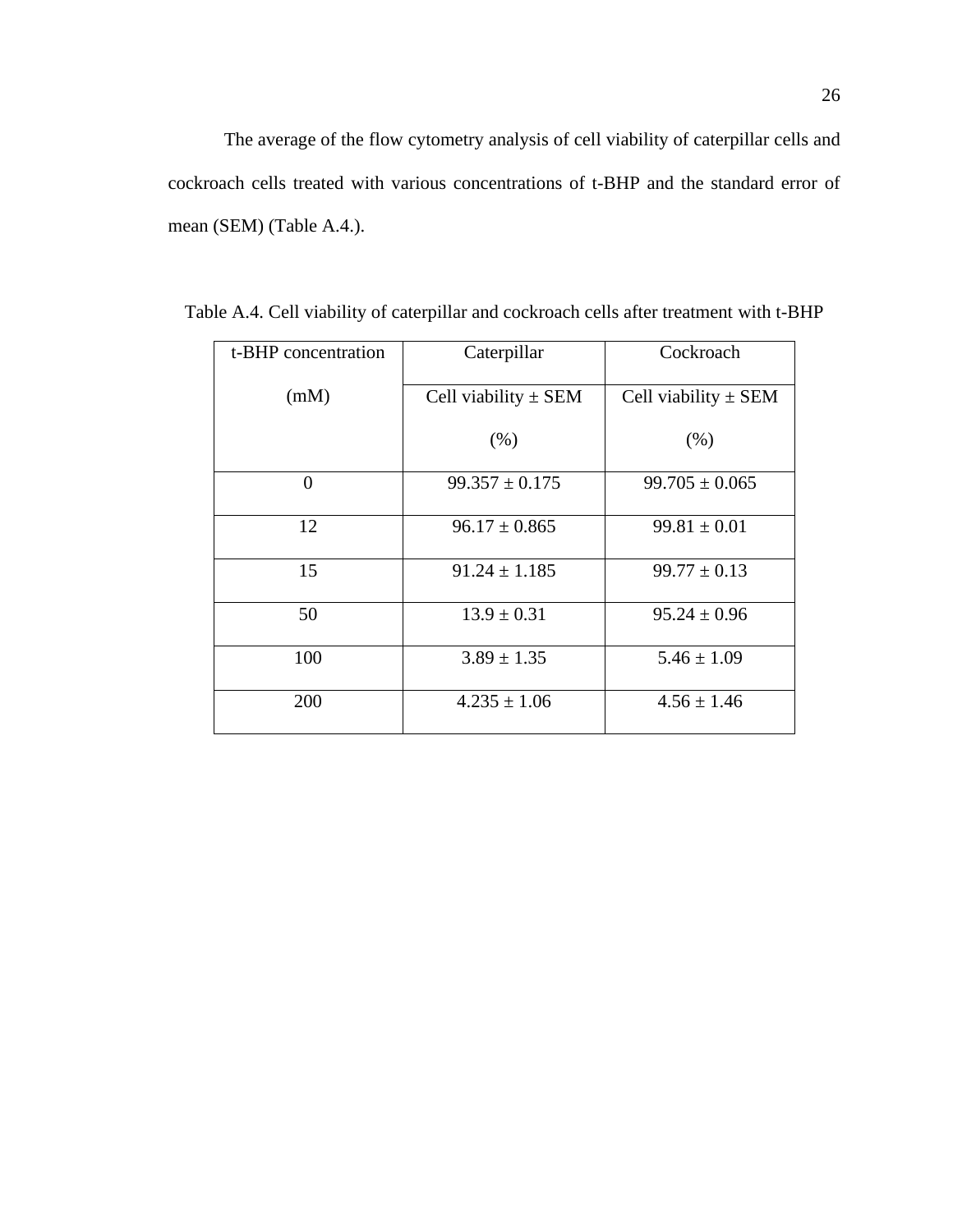| t-BHP concentration | Caterpillar              | Cockroach                |
|---------------------|--------------------------|--------------------------|
| (mM)                | Cell viability $\pm$ SEM | Cell viability $\pm$ SEM |
|                     | (% )                     | (% )                     |
| $\theta$            | $99.357 \pm 0.175$       | $99.705 \pm 0.065$       |
| 12                  | $96.17 \pm 0.865$        | $99.81 \pm 0.01$         |
| 15                  | $91.24 \pm 1.185$        | $99.77 \pm 0.13$         |
| 50                  | $13.9 \pm 0.31$          | $95.24 \pm 0.96$         |
| 100                 | $3.89 \pm 1.35$          | $5.46 \pm 1.09$          |
| 200                 | $4.235 \pm 1.06$         | $4.56 \pm 1.46$          |

Table A.4. Cell viability of caterpillar and cockroach cells after treatment with t-BHP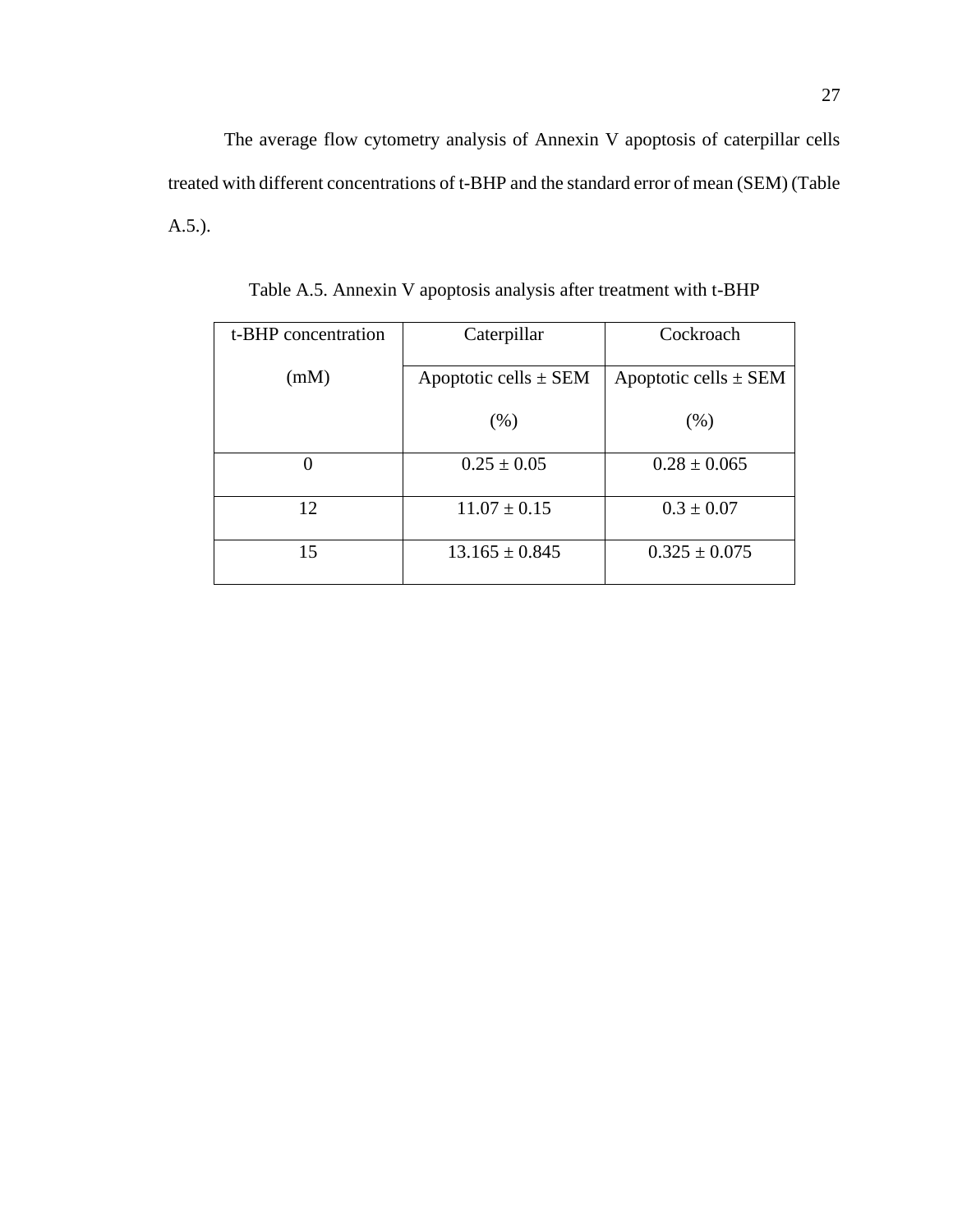The average flow cytometry analysis of Annexin V apoptosis of caterpillar cells treated with different concentrations of t-BHP and the standard error of mean (SEM) (Table A.5.).

| t-BHP concentration | Caterpillar               | Cockroach                 |
|---------------------|---------------------------|---------------------------|
| (mM)                | Apoptotic cells $\pm$ SEM | Apoptotic cells $\pm$ SEM |
|                     | (% )                      | (% )                      |
| 0                   | $0.25 \pm 0.05$           | $0.28 \pm 0.065$          |
| 12                  | $11.07 \pm 0.15$          | $0.3 \pm 0.07$            |
| 15                  | $13.165 \pm 0.845$        | $0.325 \pm 0.075$         |

Table A.5. Annexin V apoptosis analysis after treatment with t-BHP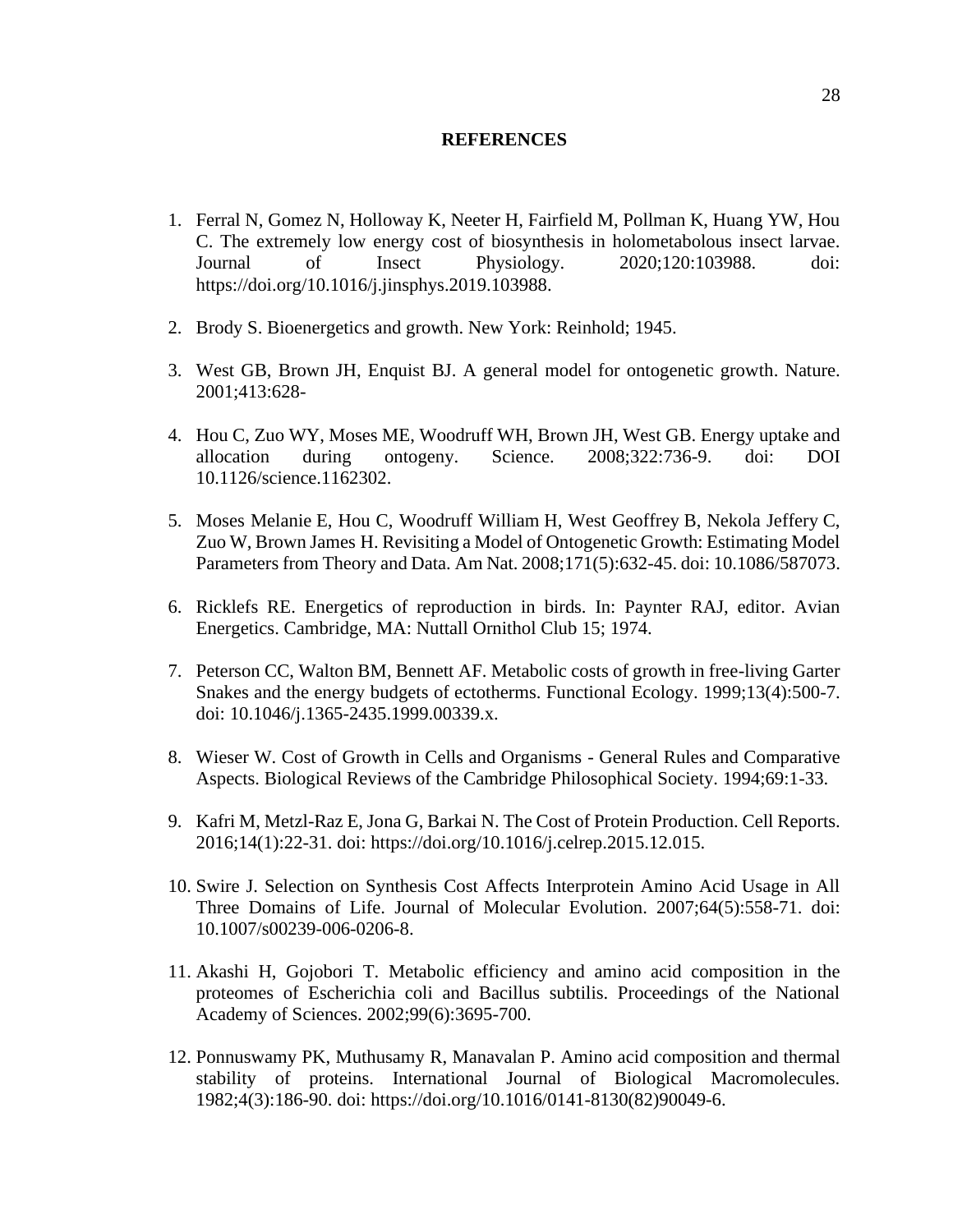#### **REFERENCES**

- <span id="page-35-0"></span>1. Ferral N, Gomez N, Holloway K, Neeter H, Fairfield M, Pollman K, Huang YW, Hou C. The extremely low energy cost of biosynthesis in holometabolous insect larvae. Journal of Insect Physiology. 2020;120:103988. doi: https://doi.org/10.1016/j.jinsphys.2019.103988.
- 2. Brody S. Bioenergetics and growth. New York: Reinhold; 1945.
- 3. West GB, Brown JH, Enquist BJ. A general model for ontogenetic growth. Nature. 2001;413:628-
- <span id="page-35-4"></span>4. Hou C, Zuo WY, Moses ME, Woodruff WH, Brown JH, West GB. Energy uptake and allocation during ontogeny. Science. 2008;322:736-9. doi: DOI 10.1126/science.1162302.
- <span id="page-35-5"></span>5. Moses Melanie E, Hou C, Woodruff William H, West Geoffrey B, Nekola Jeffery C, Zuo W, Brown James H. Revisiting a Model of Ontogenetic Growth: Estimating Model Parameters from Theory and Data. Am Nat. 2008;171(5):632-45. doi: 10.1086/587073.
- 6. Ricklefs RE. Energetics of reproduction in birds. In: Paynter RAJ, editor. Avian Energetics. Cambridge, MA: Nuttall Ornithol Club 15; 1974.
- <span id="page-35-6"></span>7. Peterson CC, Walton BM, Bennett AF. Metabolic costs of growth in free-living Garter Snakes and the energy budgets of ectotherms. Functional Ecology. 1999;13(4):500-7. doi: 10.1046/j.1365-2435.1999.00339.x.
- <span id="page-35-1"></span>8. Wieser W. Cost of Growth in Cells and Organisms - General Rules and Comparative Aspects. Biological Reviews of the Cambridge Philosophical Society. 1994;69:1-33.
- <span id="page-35-2"></span>9. Kafri M, Metzl-Raz E, Jona G, Barkai N. The Cost of Protein Production. Cell Reports. 2016;14(1):22-31. doi: https://doi.org/10.1016/j.celrep.2015.12.015.
- 10. Swire J. Selection on Synthesis Cost Affects Interprotein Amino Acid Usage in All Three Domains of Life. Journal of Molecular Evolution. 2007;64(5):558-71. doi: 10.1007/s00239-006-0206-8.
- 11. Akashi H, Gojobori T. Metabolic efficiency and amino acid composition in the proteomes of Escherichia coli and Bacillus subtilis. Proceedings of the National Academy of Sciences. 2002;99(6):3695-700.
- <span id="page-35-3"></span>12. Ponnuswamy PK, Muthusamy R, Manavalan P. Amino acid composition and thermal stability of proteins. International Journal of Biological Macromolecules. 1982;4(3):186-90. doi: https://doi.org/10.1016/0141-8130(82)90049-6.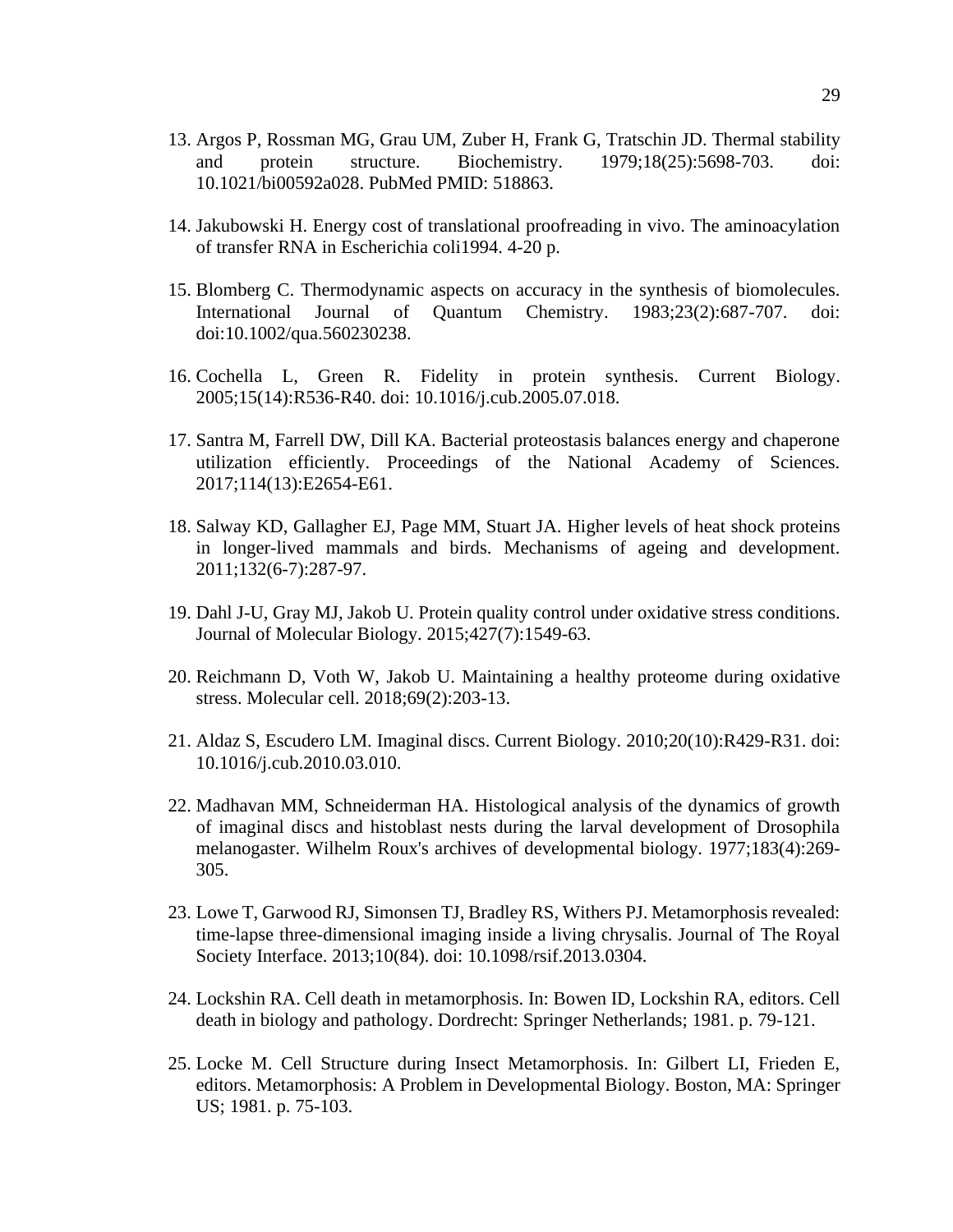- <span id="page-36-0"></span>13. Argos P, Rossman MG, Grau UM, Zuber H, Frank G, Tratschin JD. Thermal stability and protein structure. Biochemistry. 1979;18(25):5698-703. doi: 10.1021/bi00592a028. PubMed PMID: 518863.
- <span id="page-36-1"></span>14. Jakubowski H. Energy cost of translational proofreading in vivo. The aminoacylation of transfer RNA in Escherichia coli1994. 4-20 p.
- <span id="page-36-2"></span>15. Blomberg C. Thermodynamic aspects on accuracy in the synthesis of biomolecules. International Journal of Quantum Chemistry. 1983;23(2):687-707. doi: doi:10.1002/qua.560230238.
- <span id="page-36-3"></span>16. Cochella L, Green R. Fidelity in protein synthesis. Current Biology. 2005;15(14):R536-R40. doi: 10.1016/j.cub.2005.07.018.
- <span id="page-36-4"></span>17. Santra M, Farrell DW, Dill KA. Bacterial proteostasis balances energy and chaperone utilization efficiently. Proceedings of the National Academy of Sciences. 2017;114(13):E2654-E61.
- 18. Salway KD, Gallagher EJ, Page MM, Stuart JA. Higher levels of heat shock proteins in longer-lived mammals and birds. Mechanisms of ageing and development. 2011;132(6-7):287-97.
- 19. Dahl J-U, Gray MJ, Jakob U. Protein quality control under oxidative stress conditions. Journal of Molecular Biology. 2015;427(7):1549-63.
- 20. Reichmann D, Voth W, Jakob U. Maintaining a healthy proteome during oxidative stress. Molecular cell. 2018;69(2):203-13.
- <span id="page-36-5"></span>21. Aldaz S, Escudero LM. Imaginal discs. Current Biology. 2010;20(10):R429-R31. doi: 10.1016/j.cub.2010.03.010.
- 22. Madhavan MM, Schneiderman HA. Histological analysis of the dynamics of growth of imaginal discs and histoblast nests during the larval development of Drosophila melanogaster. Wilhelm Roux's archives of developmental biology. 1977;183(4):269- 305.
- 23. Lowe T, Garwood RJ, Simonsen TJ, Bradley RS, Withers PJ. Metamorphosis revealed: time-lapse three-dimensional imaging inside a living chrysalis. Journal of The Royal Society Interface. 2013;10(84). doi: 10.1098/rsif.2013.0304.
- 24. Lockshin RA. Cell death in metamorphosis. In: Bowen ID, Lockshin RA, editors. Cell death in biology and pathology. Dordrecht: Springer Netherlands; 1981. p. 79-121.
- 25. Locke M. Cell Structure during Insect Metamorphosis. In: Gilbert LI, Frieden E, editors. Metamorphosis: A Problem in Developmental Biology. Boston, MA: Springer US; 1981. p. 75-103.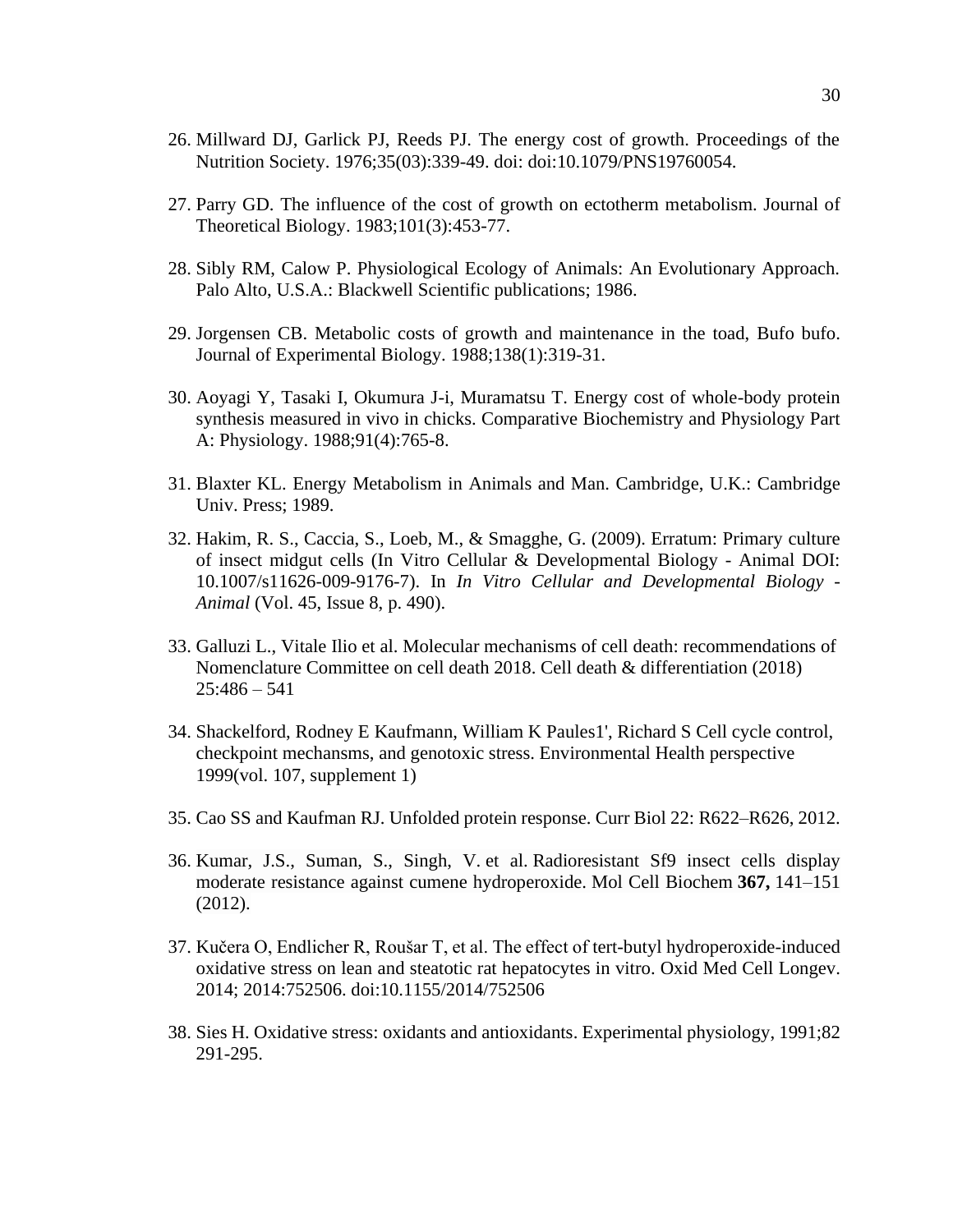- <span id="page-37-0"></span>26. Millward DJ, Garlick PJ, Reeds PJ. The energy cost of growth. Proceedings of the Nutrition Society. 1976;35(03):339-49. doi: doi:10.1079/PNS19760054.
- 27. Parry GD. The influence of the cost of growth on ectotherm metabolism. Journal of Theoretical Biology. 1983;101(3):453-77.
- 28. Sibly RM, Calow P. Physiological Ecology of Animals: An Evolutionary Approach. Palo Alto, U.S.A.: Blackwell Scientific publications; 1986.
- 29. Jorgensen CB. Metabolic costs of growth and maintenance in the toad, Bufo bufo. Journal of Experimental Biology. 1988;138(1):319-31.
- 30. Aoyagi Y, Tasaki I, Okumura J-i, Muramatsu T. Energy cost of whole-body protein synthesis measured in vivo in chicks. Comparative Biochemistry and Physiology Part A: Physiology. 1988;91(4):765-8.
- 31. Blaxter KL. Energy Metabolism in Animals and Man. Cambridge, U.K.: Cambridge Univ. Press; 1989.
- 32. Hakim, R. S., Caccia, S., Loeb, M., & Smagghe, G. (2009). Erratum: Primary culture of insect midgut cells (In Vitro Cellular & Developmental Biology - Animal DOI: 10.1007/s11626-009-9176-7). In *In Vitro Cellular and Developmental Biology - Animal* (Vol. 45, Issue 8, p. 490).
- 33. Galluzi L., Vitale Ilio et al. Molecular mechanisms of cell death: recommendations of Nomenclature Committee on cell death 2018. Cell death & differentiation (2018)  $25:486 - 541$
- 34. Shackelford, Rodney E Kaufmann, William K Paules1', Richard S Cell cycle control, checkpoint mechansms, and genotoxic stress. Environmental Health perspective 1999(vol. 107, supplement 1)
- 35. Cao SS and Kaufman RJ. Unfolded protein response. Curr Biol 22: R622–R626, 2012.
- 36. Kumar, J.S., Suman, S., Singh, V. et al. Radioresistant Sf9 insect cells display moderate resistance against cumene hydroperoxide. Mol Cell Biochem **367,** 141–151 (2012).
- 37. Kučera O, Endlicher R, Roušar T, et al. The effect of tert-butyl hydroperoxide-induced oxidative stress on lean and steatotic rat hepatocytes in vitro. Oxid Med Cell Longev. 2014; 2014:752506. doi:10.1155/2014/752506
- 38. Sies H. Oxidative stress: oxidants and antioxidants. Experimental physiology, 1991;82 291-295.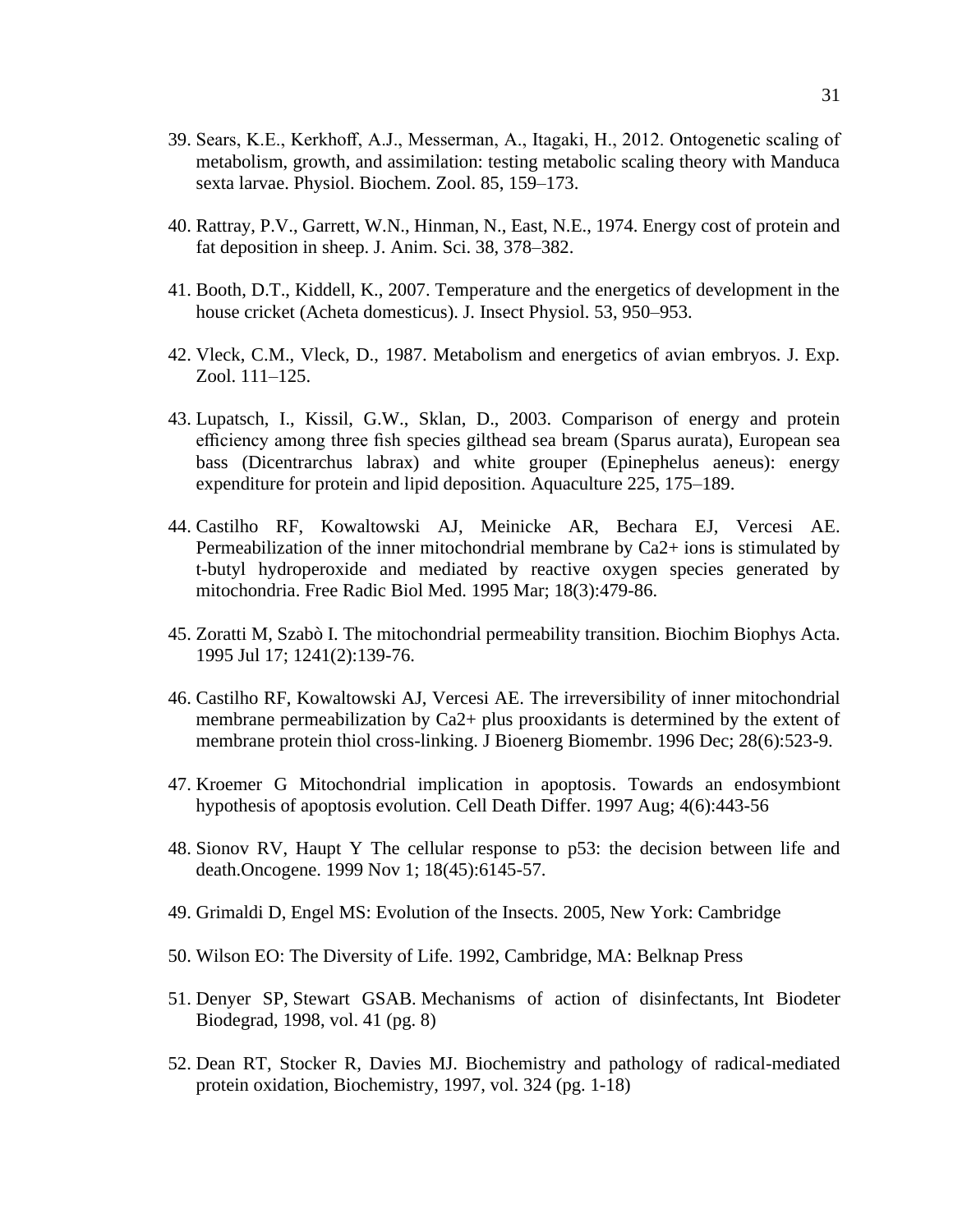- 39. Sears, K.E., Kerkhoff, A.J., Messerman, A., Itagaki, H., 2012. Ontogenetic scaling of metabolism, growth, and assimilation: testing metabolic scaling theory with Manduca sexta larvae. Physiol. Biochem. Zool. 85, 159–173.
- 40. Rattray, P.V., Garrett, W.N., Hinman, N., East, N.E., 1974. Energy cost of protein and fat deposition in sheep. J. Anim. Sci. 38, 378–382.
- 41. Booth, D.T., Kiddell, K., 2007. Temperature and the energetics of development in the house cricket (Acheta domesticus). J. Insect Physiol. 53, 950–953.
- 42. Vleck, C.M., Vleck, D., 1987. Metabolism and energetics of avian embryos. J. Exp. Zool. 111–125.
- 43. Lupatsch, I., Kissil, G.W., Sklan, D., 2003. Comparison of energy and protein efficiency among three fish species gilthead sea bream (Sparus aurata), European sea bass (Dicentrarchus labrax) and white grouper (Epinephelus aeneus): energy expenditure for protein and lipid deposition. Aquaculture 225, 175–189.
- 44. Castilho RF, Kowaltowski AJ, Meinicke AR, Bechara EJ, Vercesi AE. Permeabilization of the inner mitochondrial membrane by Ca2+ ions is stimulated by t-butyl hydroperoxide and mediated by reactive oxygen species generated by mitochondria. Free Radic Biol Med. 1995 Mar; 18(3):479-86.
- 45. Zoratti M, Szabò I. The mitochondrial permeability transition. Biochim Biophys Acta. 1995 Jul 17; 1241(2):139-76.
- 46. Castilho RF, Kowaltowski AJ, Vercesi AE. The irreversibility of inner mitochondrial membrane permeabilization by Ca2+ plus prooxidants is determined by the extent of membrane protein thiol cross-linking. J Bioenerg Biomembr. 1996 Dec; 28(6):523-9.
- 47. Kroemer G Mitochondrial implication in apoptosis. Towards an endosymbiont hypothesis of apoptosis evolution. Cell Death Differ. 1997 Aug; 4(6):443-56
- 48. Sionov RV, Haupt Y The cellular response to p53: the decision between life and death.Oncogene. 1999 Nov 1; 18(45):6145-57.
- 49. Grimaldi D, Engel MS: Evolution of the Insects. 2005, New York: Cambridge
- 50. Wilson EO: The Diversity of Life. 1992, Cambridge, MA: Belknap Press
- 51. Denyer SP, Stewart GSAB. Mechanisms of action of disinfectants, Int Biodeter Biodegrad, 1998, vol. 41 (pg. 8)
- 52. Dean RT, Stocker R, Davies MJ. Biochemistry and pathology of radical-mediated protein oxidation, Biochemistry, 1997, vol. 324 (pg. 1-18)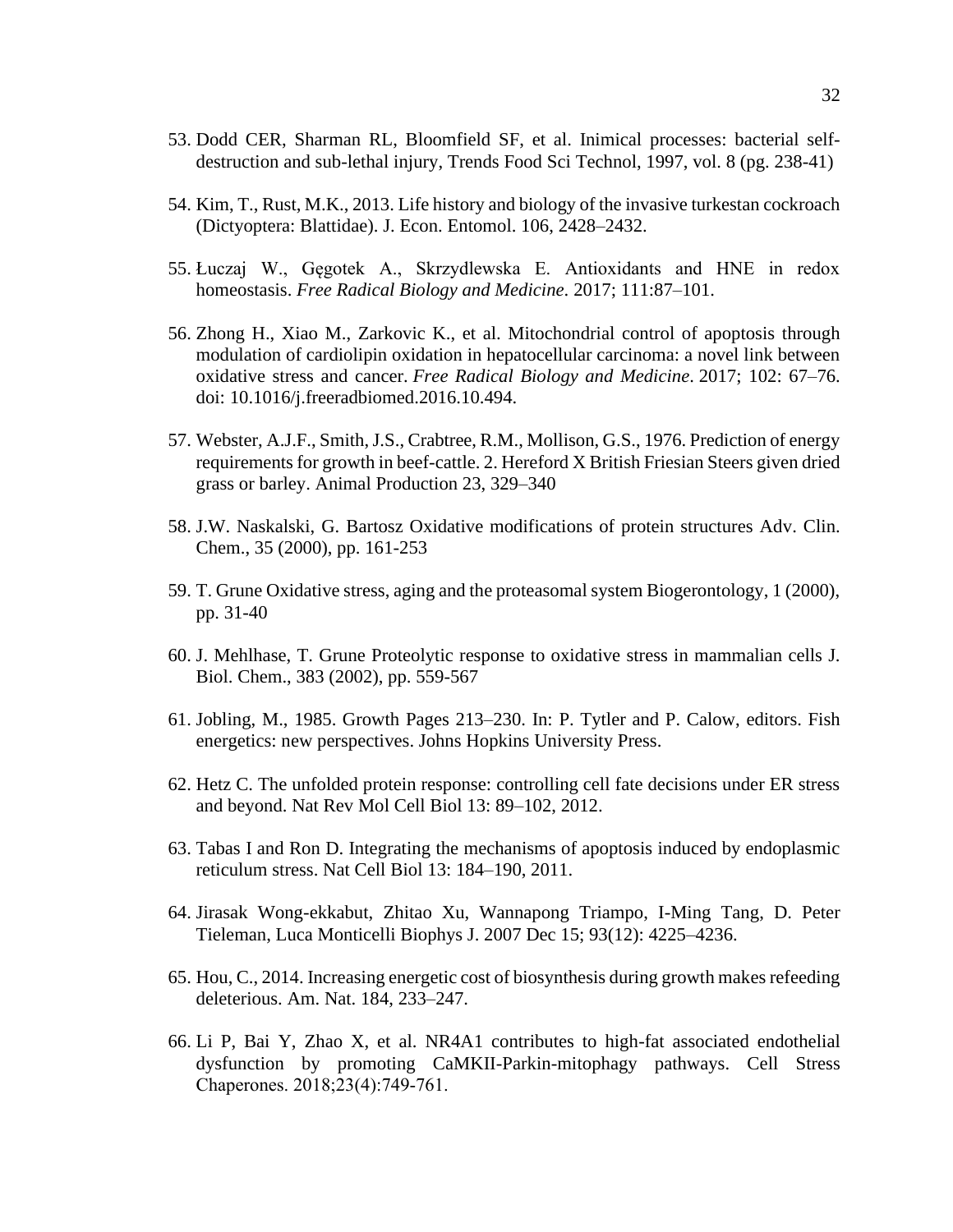- 53. Dodd CER, Sharman RL, Bloomfield SF, et al. Inimical processes: bacterial selfdestruction and sub-lethal injury, Trends Food Sci Technol, 1997, vol. 8 (pg. 238-41)
- 54. Kim, T., Rust, M.K., 2013. Life history and biology of the invasive turkestan cockroach (Dictyoptera: Blattidae). J. Econ. Entomol. 106, 2428–2432.
- 55. Łuczaj W., Gęgotek A., Skrzydlewska E. Antioxidants and HNE in redox homeostasis. *Free Radical Biology and Medicine*. 2017; 111:87–101.
- 56. Zhong H., Xiao M., Zarkovic K., et al. Mitochondrial control of apoptosis through modulation of cardiolipin oxidation in hepatocellular carcinoma: a novel link between oxidative stress and cancer. *Free Radical Biology and Medicine*. 2017; 102: 67–76. doi: 10.1016/j.freeradbiomed.2016.10.494.
- 57. Webster, A.J.F., Smith, J.S., Crabtree, R.M., Mollison, G.S., 1976. Prediction of energy requirements for growth in beef-cattle. 2. Hereford X British Friesian Steers given dried grass or barley. Animal Production 23, 329–340
- 58. J.W. Naskalski, G. Bartosz Oxidative modifications of protein structures Adv. Clin. Chem., 35 (2000), pp. 161-253
- 59. T. Grune Oxidative stress, aging and the proteasomal system Biogerontology, 1 (2000), pp. 31-40
- 60. J. Mehlhase, T. Grune Proteolytic response to oxidative stress in mammalian cells J. Biol. Chem., 383 (2002), pp. 559-567
- 61. Jobling, M., 1985. Growth Pages 213–230. In: P. Tytler and P. Calow, editors. Fish energetics: new perspectives. Johns Hopkins University Press.
- 62. Hetz C. The unfolded protein response: controlling cell fate decisions under ER stress and beyond. Nat Rev Mol Cell Biol 13: 89–102, 2012.
- 63. Tabas I and Ron D. Integrating the mechanisms of apoptosis induced by endoplasmic reticulum stress. Nat Cell Biol 13: 184–190, 2011.
- 64. Jirasak Wong-ekkabut, Zhitao Xu, Wannapong Triampo, I-Ming Tang, D. Peter Tieleman, Luca Monticelli Biophys J. 2007 Dec 15; 93(12): 4225–4236.
- 65. Hou, C., 2014. Increasing energetic cost of biosynthesis during growth makes refeeding deleterious. Am. Nat. 184, 233–247.
- 66. Li P, Bai Y, Zhao X, et al. NR4A1 contributes to high-fat associated endothelial dysfunction by promoting CaMKII-Parkin-mitophagy pathways. Cell Stress Chaperones. 2018;23(4):749‐761.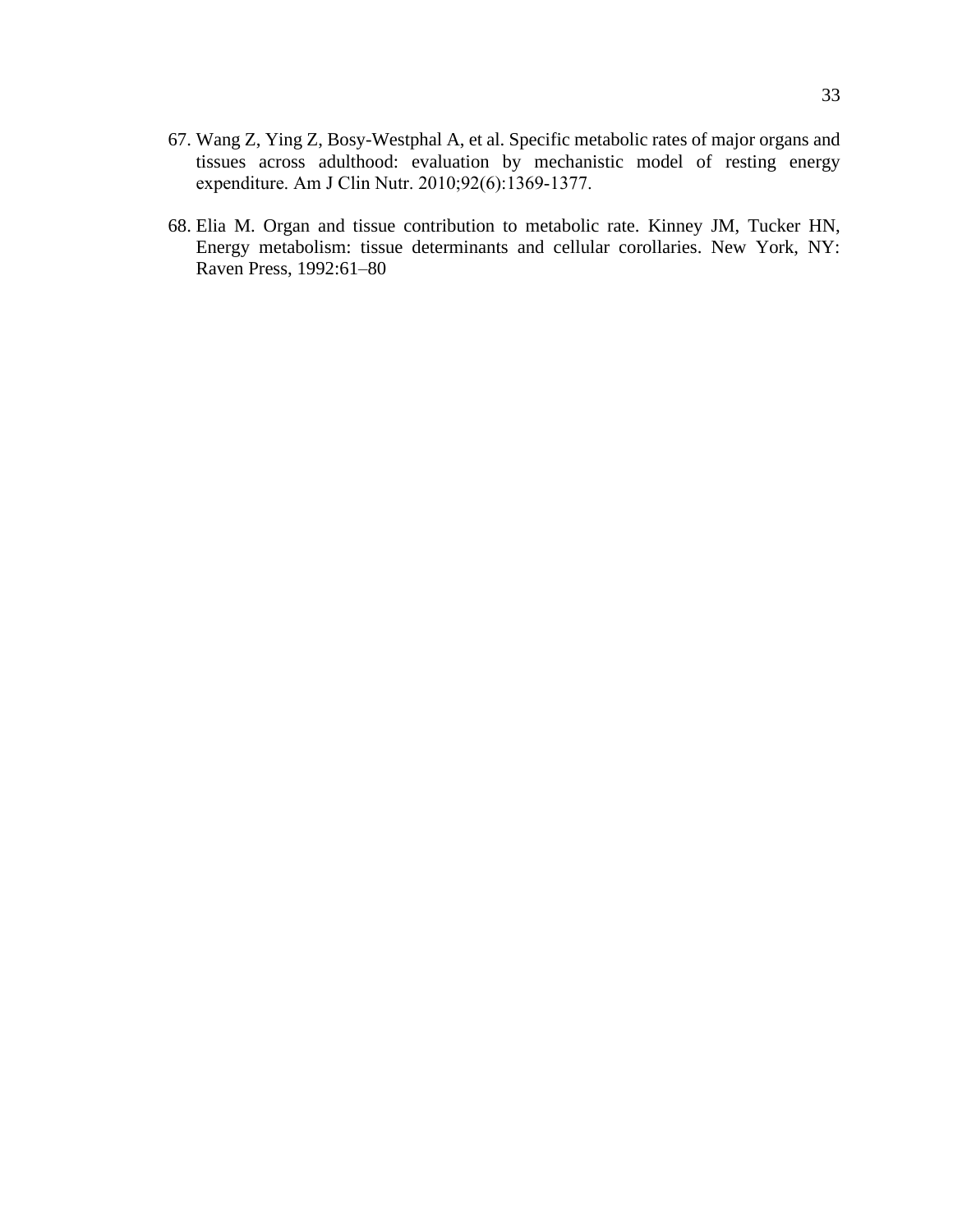- 67. Wang Z, Ying Z, Bosy-Westphal A, et al. Specific metabolic rates of major organs and tissues across adulthood: evaluation by mechanistic model of resting energy expenditure. Am J Clin Nutr. 2010;92(6):1369‐1377.
- 68. Elia M. Organ and tissue contribution to metabolic rate. Kinney JM, Tucker HN, Energy metabolism: tissue determinants and cellular corollaries. New York, NY: Raven Press, 1992:61–80